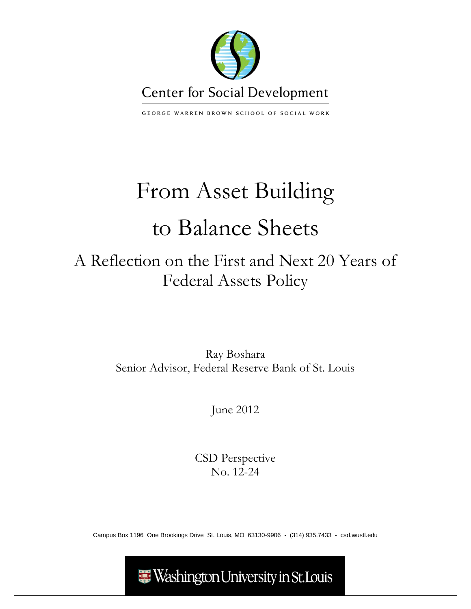

GEORGE WARREN BROWN SCHOOL OF SOCIAL WORK

# From Asset Building to Balance Sheets

## A Reflection on the First and Next 20 Years of Federal Assets Policy

Ray Boshara Senior Advisor, Federal Reserve Bank of St. Louis

June 2012

CSD Perspective No. 12-24

Campus Box 1196 One Brookings Drive St. Louis, MO 63130-9906 · (314) 935.7433 · csd.wustl.edu

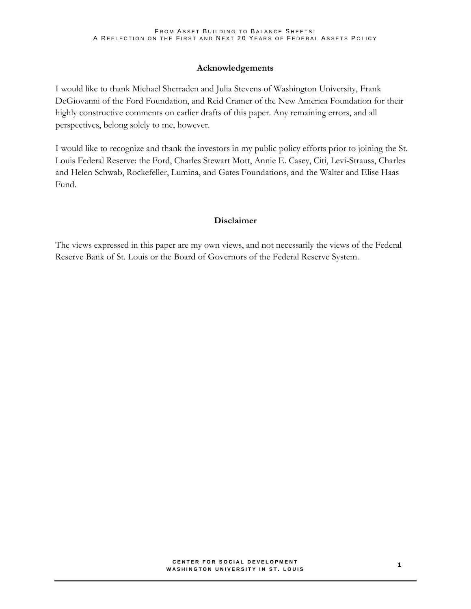### **Acknowledgements**

I would like to thank Michael Sherraden and Julia Stevens of Washington University, Frank DeGiovanni of the Ford Foundation, and Reid Cramer of the New America Foundation for their highly constructive comments on earlier drafts of this paper. Any remaining errors, and all perspectives, belong solely to me, however.

I would like to recognize and thank the investors in my public policy efforts prior to joining the St. Louis Federal Reserve: the Ford, Charles Stewart Mott, Annie E. Casey, Citi, Levi-Strauss, Charles and Helen Schwab, Rockefeller, Lumina, and Gates Foundations, and the Walter and Elise Haas Fund.

### **Disclaimer**

The views expressed in this paper are my own views, and not necessarily the views of the Federal Reserve Bank of St. Louis or the Board of Governors of the Federal Reserve System.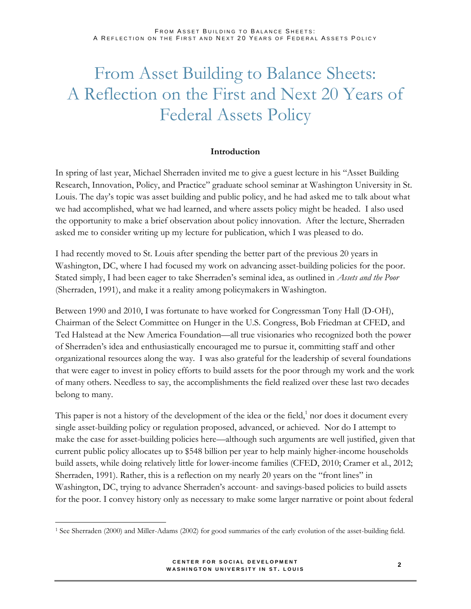FROM ASSET BUILDING TO BALANCE SHEETS: A REFLECTION ON THE FIRST AND NEXT 20 YEARS OF FEDERAL ASSETS POLICY

## From Asset Building to Balance Sheets: A Reflection on the First and Next 20 Years of Federal Assets Policy

#### **Introduction**

In spring of last year, Michael Sherraden invited me to give a guest lecture in his "Asset Building Research, Innovation, Policy, and Practice" graduate school seminar at Washington University in St. Louis. The day's topic was asset building and public policy, and he had asked me to talk about what we had accomplished, what we had learned, and where assets policy might be headed. I also used the opportunity to make a brief observation about policy innovation. After the lecture, Sherraden asked me to consider writing up my lecture for publication, which I was pleased to do.

I had recently moved to St. Louis after spending the better part of the previous 20 years in Washington, DC, where I had focused my work on advancing asset-building policies for the poor. Stated simply, I had been eager to take Sherraden's seminal idea, as outlined in *Assets and the Poor* (Sherraden, 1991), and make it a reality among policymakers in Washington.

Between 1990 and 2010, I was fortunate to have worked for Congressman Tony Hall (D-OH), Chairman of the Select Committee on Hunger in the U.S. Congress, Bob Friedman at CFED, and Ted Halstead at the New America Foundation—all true visionaries who recognized both the power of Sherraden's idea and enthusiastically encouraged me to pursue it, committing staff and other organizational resources along the way. I was also grateful for the leadership of several foundations that were eager to invest in policy efforts to build assets for the poor through my work and the work of many others. Needless to say, the accomplishments the field realized over these last two decades belong to many.

This paper is not a history of the development of the idea or the field, $<sup>1</sup>$  nor does it document every</sup> single asset-building policy or regulation proposed, advanced, or achieved. Nor do I attempt to make the case for asset-building policies here—although such arguments are well justified, given that current public policy allocates up to \$548 billion per year to help mainly higher-income households build assets, while doing relatively little for lower-income families (CFED, 2010; Cramer et al., 2012; Sherraden, 1991). Rather, this is a reflection on my nearly 20 years on the "front lines" in Washington, DC, trying to advance Sherraden's account- and savings-based policies to build assets for the poor. I convey history only as necessary to make some larger narrative or point about federal

<sup>1</sup> See Sherraden (2000) and Miller-Adams (2002) for good summaries of the early evolution of the asset-building field.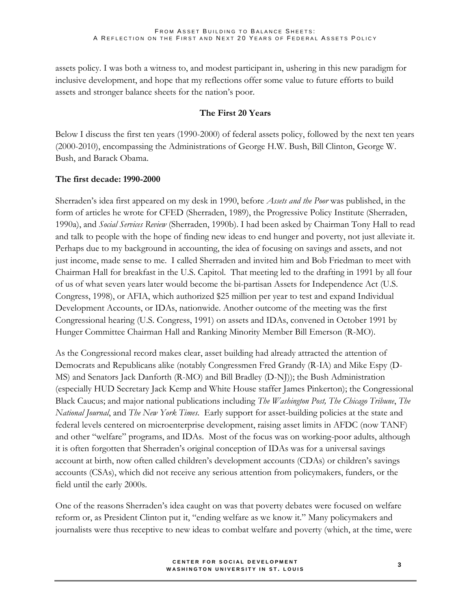assets policy. I was both a witness to, and modest participant in, ushering in this new paradigm for inclusive development, and hope that my reflections offer some value to future efforts to build assets and stronger balance sheets for the nation's poor.

## **The First 20 Years**

Below I discuss the first ten years (1990-2000) of federal assets policy, followed by the next ten years (2000-2010), encompassing the Administrations of George H.W. Bush, Bill Clinton, George W. Bush, and Barack Obama.

## **The first decade: 1990-2000**

Sherraden's idea first appeared on my desk in 1990, before *Assets and the Poor* was published, in the form of articles he wrote for CFED (Sherraden, 1989), the Progressive Policy Institute (Sherraden, 1990a), and *Social Services Review* (Sherraden, 1990b). I had been asked by Chairman Tony Hall to read and talk to people with the hope of finding new ideas to end hunger and poverty, not just alleviate it. Perhaps due to my background in accounting, the idea of focusing on savings and assets, and not just income, made sense to me. I called Sherraden and invited him and Bob Friedman to meet with Chairman Hall for breakfast in the U.S. Capitol. That meeting led to the drafting in 1991 by all four of us of what seven years later would become the bi-partisan Assets for Independence Act (U.S. Congress, 1998), or AFIA, which authorized \$25 million per year to test and expand Individual Development Accounts, or IDAs, nationwide. Another outcome of the meeting was the first Congressional hearing (U.S. Congress, 1991) on assets and IDAs, convened in October 1991 by Hunger Committee Chairman Hall and Ranking Minority Member Bill Emerson (R-MO).

As the Congressional record makes clear, asset building had already attracted the attention of Democrats and Republicans alike (notably Congressmen Fred Grandy (R-IA) and Mike Espy (D-MS) and Senators Jack Danforth (R-MO) and Bill Bradley (D-NJ)); the Bush Administration (especially HUD Secretary Jack Kemp and White House staffer James Pinkerton); the Congressional Black Caucus; and major national publications including *The Washington Post, The Chicago Tribune*, *The National Journal*, and *The New York Times*. Early support for asset-building policies at the state and federal levels centered on microenterprise development, raising asset limits in AFDC (now TANF) and other "welfare" programs, and IDAs. Most of the focus was on working-poor adults, although it is often forgotten that Sherraden's original conception of IDAs was for a universal savings account at birth, now often called children's development accounts (CDAs) or children's savings accounts (CSAs), which did not receive any serious attention from policymakers, funders, or the field until the early 2000s.

One of the reasons Sherraden's idea caught on was that poverty debates were focused on welfare reform or, as President Clinton put it, "ending welfare as we know it." Many policymakers and journalists were thus receptive to new ideas to combat welfare and poverty (which, at the time, were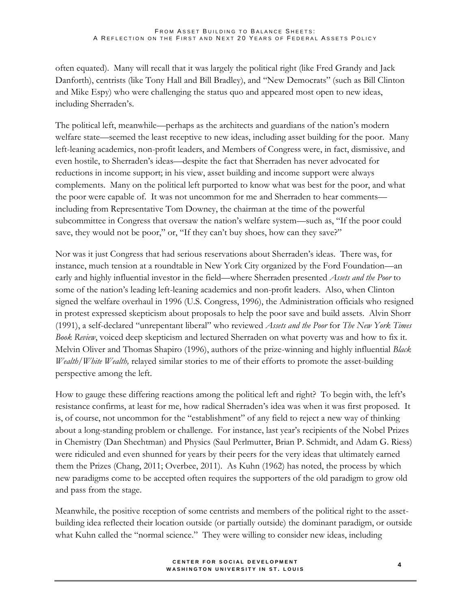often equated). Many will recall that it was largely the political right (like Fred Grandy and Jack Danforth), centrists (like Tony Hall and Bill Bradley), and "New Democrats" (such as Bill Clinton and Mike Espy) who were challenging the status quo and appeared most open to new ideas, including Sherraden's.

The political left, meanwhile—perhaps as the architects and guardians of the nation's modern welfare state—seemed the least receptive to new ideas, including asset building for the poor. Many left-leaning academics, non-profit leaders, and Members of Congress were, in fact, dismissive, and even hostile, to Sherraden's ideas—despite the fact that Sherraden has never advocated for reductions in income support; in his view, asset building and income support were always complements. Many on the political left purported to know what was best for the poor, and what the poor were capable of. It was not uncommon for me and Sherraden to hear comments including from Representative Tom Downey, the chairman at the time of the powerful subcommittee in Congress that oversaw the nation's welfare system—such as, "If the poor could save, they would not be poor," or, "If they can't buy shoes, how can they save?"

Nor was it just Congress that had serious reservations about Sherraden's ideas. There was, for instance, much tension at a roundtable in New York City organized by the Ford Foundation—an early and highly influential investor in the field—where Sherraden presented *Assets and the Poor* to some of the nation's leading left-leaning academics and non-profit leaders. Also, when Clinton signed the welfare overhaul in 1996 (U.S. Congress, 1996), the Administration officials who resigned in protest expressed skepticism about proposals to help the poor save and build assets. Alvin Shorr (1991), a self-declared "unrepentant liberal" who reviewed *Assets and the Poor* for *The New York Times Book Review*, voiced deep skepticism and lectured Sherraden on what poverty was and how to fix it. Melvin Oliver and Thomas Shapiro (1996), authors of the prize-winning and highly influential *Black Wealth/White Wealth,* relayed similar stories to me of their efforts to promote the asset-building perspective among the left.

How to gauge these differing reactions among the political left and right? To begin with, the left's resistance confirms, at least for me, how radical Sherraden's idea was when it was first proposed. It is, of course, not uncommon for the "establishment" of any field to reject a new way of thinking about a long-standing problem or challenge. For instance, last year's recipients of the Nobel Prizes in Chemistry (Dan Shechtman) and Physics (Saul Perlmutter, Brian P. Schmidt, and Adam G. Riess) were ridiculed and even shunned for years by their peers for the very ideas that ultimately earned them the Prizes (Chang, 2011; Overbee, 2011). As Kuhn (1962) has noted, the process by which new paradigms come to be accepted often requires the supporters of the old paradigm to grow old and pass from the stage.

Meanwhile, the positive reception of some centrists and members of the political right to the assetbuilding idea reflected their location outside (or partially outside) the dominant paradigm, or outside what Kuhn called the "normal science." They were willing to consider new ideas, including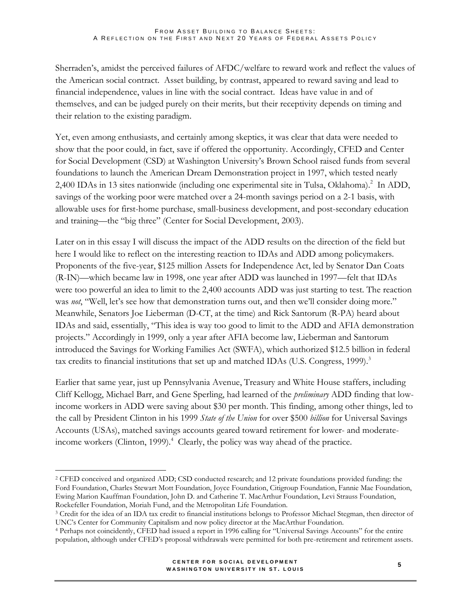Sherraden's, amidst the perceived failures of AFDC/welfare to reward work and reflect the values of the American social contract. Asset building, by contrast, appeared to reward saving and lead to financial independence, values in line with the social contract. Ideas have value in and of themselves, and can be judged purely on their merits, but their receptivity depends on timing and their relation to the existing paradigm.

Yet, even among enthusiasts, and certainly among skeptics, it was clear that data were needed to show that the poor could, in fact, save if offered the opportunity. Accordingly, CFED and Center for Social Development (CSD) at Washington University's Brown School raised funds from several foundations to launch the American Dream Demonstration project in 1997, which tested nearly 2,400 IDAs in 13 sites nationwide (including one experimental site in Tulsa, Oklahoma).<sup>2</sup> In ADD, savings of the working poor were matched over a 24-month savings period on a 2-1 basis, with allowable uses for first-home purchase, small-business development, and post-secondary education and training—the "big three" (Center for Social Development, 2003).

Later on in this essay I will discuss the impact of the ADD results on the direction of the field but here I would like to reflect on the interesting reaction to IDAs and ADD among policymakers. Proponents of the five-year, \$125 million Assets for Independence Act, led by Senator Dan Coats (R-IN)—which became law in 1998, one year after ADD was launched in 1997—felt that IDAs were too powerful an idea to limit to the 2,400 accounts ADD was just starting to test. The reaction was *not*, "Well, let's see how that demonstration turns out, and then we'll consider doing more." Meanwhile, Senators Joe Lieberman (D-CT, at the time) and Rick Santorum (R-PA) heard about IDAs and said, essentially, "This idea is way too good to limit to the ADD and AFIA demonstration projects." Accordingly in 1999, only a year after AFIA become law, Lieberman and Santorum introduced the Savings for Working Families Act (SWFA), which authorized \$12.5 billion in federal tax credits to financial institutions that set up and matched IDAs (U.S. Congress, 1999).<sup>3</sup>

Earlier that same year, just up Pennsylvania Avenue, Treasury and White House staffers, including Cliff Kellogg, Michael Barr, and Gene Sperling, had learned of the *preliminary* ADD finding that lowincome workers in ADD were saving about \$30 per month. This finding, among other things, led to the call by President Clinton in his 1999 *State of the Union* for over \$500 *billion* for Universal Savings Accounts (USAs), matched savings accounts geared toward retirement for lower- and moderateincome workers (Clinton, 1999). $^4$  Clearly, the policy was way ahead of the practice.

 $\overline{a}$ <sup>2</sup> CFED conceived and organized ADD; CSD conducted research; and 12 private foundations provided funding: the Ford Foundation, Charles Stewart Mott Foundation, Joyce Foundation, Citigroup Foundation, Fannie Mae Foundation, Ewing Marion Kauffman Foundation, John D. and Catherine T. MacArthur Foundation, Levi Strauss Foundation, Rockefeller Foundation, Moriah Fund, and the Metropolitan Life Foundation.

<sup>3</sup> Credit for the idea of an IDA tax credit to financial institutions belongs to Professor Michael Stegman, then director of UNC's Center for Community Capitalism and now policy director at the MacArthur Foundation.

<sup>4</sup> Perhaps not coincidently, CFED had issued a report in 1996 calling for "Universal Savings Accounts" for the entire population, although under CFED's proposal withdrawals were permitted for both pre-retirement and retirement assets.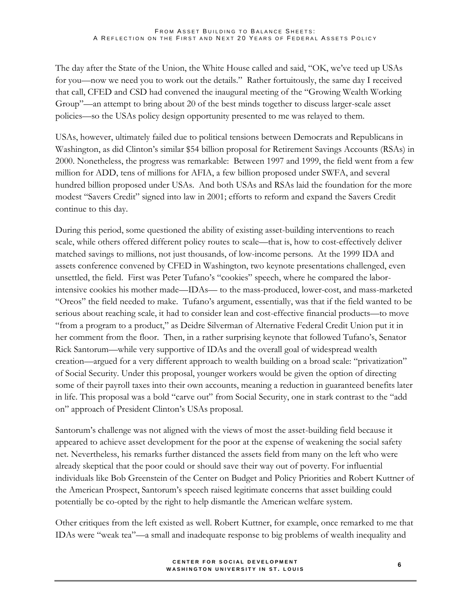The day after the State of the Union, the White House called and said, "OK, we've teed up USAs for you—now we need you to work out the details." Rather fortuitously, the same day I received that call, CFED and CSD had convened the inaugural meeting of the "Growing Wealth Working Group"—an attempt to bring about 20 of the best minds together to discuss larger-scale asset policies—so the USAs policy design opportunity presented to me was relayed to them.

USAs, however, ultimately failed due to political tensions between Democrats and Republicans in Washington, as did Clinton's similar \$54 billion proposal for Retirement Savings Accounts (RSAs) in 2000. Nonetheless, the progress was remarkable: Between 1997 and 1999, the field went from a few million for ADD, tens of millions for AFIA, a few billion proposed under SWFA, and several hundred billion proposed under USAs. And both USAs and RSAs laid the foundation for the more modest "Savers Credit" signed into law in 2001; efforts to reform and expand the Savers Credit continue to this day.

During this period, some questioned the ability of existing asset-building interventions to reach scale, while others offered different policy routes to scale—that is, how to cost-effectively deliver matched savings to millions, not just thousands, of low-income persons. At the 1999 IDA and assets conference convened by CFED in Washington, two keynote presentations challenged, even unsettled, the field. First was Peter Tufano's "cookies" speech, where he compared the laborintensive cookies his mother made—IDAs— to the mass-produced, lower-cost, and mass-marketed "Oreos" the field needed to make. Tufano's argument, essentially, was that if the field wanted to be serious about reaching scale, it had to consider lean and cost-effective financial products—to move "from a program to a product," as Deidre Silverman of Alternative Federal Credit Union put it in her comment from the floor. Then, in a rather surprising keynote that followed Tufano's, Senator Rick Santorum—while very supportive of IDAs and the overall goal of widespread wealth creation—argued for a very different approach to wealth building on a broad scale: "privatization" of Social Security. Under this proposal, younger workers would be given the option of directing some of their payroll taxes into their own accounts, meaning a reduction in guaranteed benefits later in life. This proposal was a bold "carve out" from Social Security, one in stark contrast to the "add on" approach of President Clinton's USAs proposal.

Santorum's challenge was not aligned with the views of most the asset-building field because it appeared to achieve asset development for the poor at the expense of weakening the social safety net. Nevertheless, his remarks further distanced the assets field from many on the left who were already skeptical that the poor could or should save their way out of poverty. For influential individuals like Bob Greenstein of the Center on Budget and Policy Priorities and Robert Kuttner of the American Prospect, Santorum's speech raised legitimate concerns that asset building could potentially be co-opted by the right to help dismantle the American welfare system.

Other critiques from the left existed as well. Robert Kuttner, for example, once remarked to me that IDAs were "weak tea"—a small and inadequate response to big problems of wealth inequality and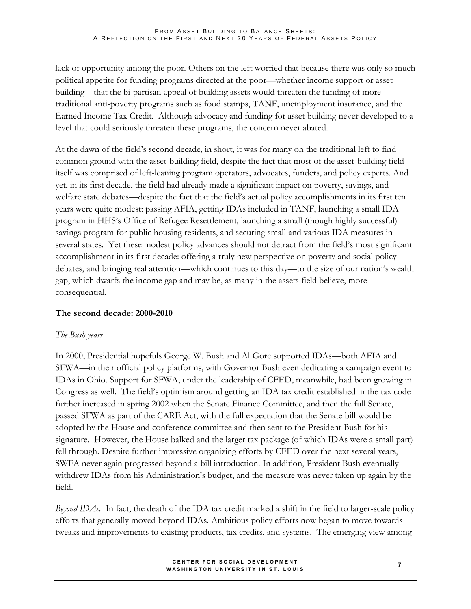lack of opportunity among the poor. Others on the left worried that because there was only so much political appetite for funding programs directed at the poor—whether income support or asset building—that the bi-partisan appeal of building assets would threaten the funding of more traditional anti-poverty programs such as food stamps, TANF, unemployment insurance, and the Earned Income Tax Credit. Although advocacy and funding for asset building never developed to a level that could seriously threaten these programs, the concern never abated.

At the dawn of the field's second decade, in short, it was for many on the traditional left to find common ground with the asset-building field, despite the fact that most of the asset-building field itself was comprised of left-leaning program operators, advocates, funders, and policy experts. And yet, in its first decade, the field had already made a significant impact on poverty, savings, and welfare state debates—despite the fact that the field's actual policy accomplishments in its first ten years were quite modest: passing AFIA, getting IDAs included in TANF, launching a small IDA program in HHS's Office of Refugee Resettlement, launching a small (though highly successful) savings program for public housing residents, and securing small and various IDA measures in several states. Yet these modest policy advances should not detract from the field's most significant accomplishment in its first decade: offering a truly new perspective on poverty and social policy debates, and bringing real attention—which continues to this day—to the size of our nation's wealth gap, which dwarfs the income gap and may be, as many in the assets field believe, more consequential.

## **The second decade: 2000-2010**

## *The Bush years*

In 2000, Presidential hopefuls George W. Bush and Al Gore supported IDAs—both AFIA and SFWA—in their official policy platforms, with Governor Bush even dedicating a campaign event to IDAs in Ohio. Support for SFWA, under the leadership of CFED, meanwhile, had been growing in Congress as well. The field's optimism around getting an IDA tax credit established in the tax code further increased in spring 2002 when the Senate Finance Committee, and then the full Senate, passed SFWA as part of the CARE Act, with the full expectation that the Senate bill would be adopted by the House and conference committee and then sent to the President Bush for his signature. However, the House balked and the larger tax package (of which IDAs were a small part) fell through. Despite further impressive organizing efforts by CFED over the next several years, SWFA never again progressed beyond a bill introduction. In addition, President Bush eventually withdrew IDAs from his Administration's budget, and the measure was never taken up again by the field.

*Beyond IDAs*. In fact, the death of the IDA tax credit marked a shift in the field to larger-scale policy efforts that generally moved beyond IDAs. Ambitious policy efforts now began to move towards tweaks and improvements to existing products, tax credits, and systems. The emerging view among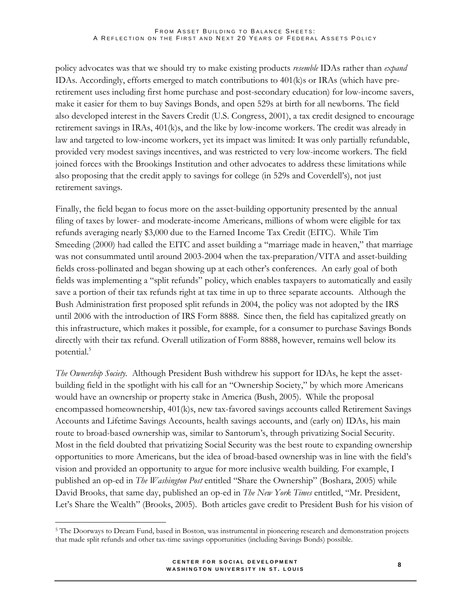policy advocates was that we should try to make existing products *resemble* IDAs rather than *expand* IDAs. Accordingly, efforts emerged to match contributions to 401(k)s or IRAs (which have preretirement uses including first home purchase and post-secondary education) for low-income savers, make it easier for them to buy Savings Bonds, and open 529s at birth for all newborns. The field also developed interest in the Savers Credit (U.S. Congress, 2001), a tax credit designed to encourage retirement savings in IRAs, 401(k)s, and the like by low-income workers. The credit was already in law and targeted to low-income workers, yet its impact was limited: It was only partially refundable, provided very modest savings incentives, and was restricted to very low-income workers. The field joined forces with the Brookings Institution and other advocates to address these limitations while also proposing that the credit apply to savings for college (in 529s and Coverdell's), not just retirement savings.

Finally, the field began to focus more on the asset-building opportunity presented by the annual filing of taxes by lower- and moderate-income Americans, millions of whom were eligible for tax refunds averaging nearly \$3,000 due to the Earned Income Tax Credit (EITC). While Tim Smeeding (2000) had called the EITC and asset building a "marriage made in heaven," that marriage was not consummated until around 2003-2004 when the tax-preparation/VITA and asset-building fields cross-pollinated and began showing up at each other's conferences. An early goal of both fields was implementing a "split refunds" policy, which enables taxpayers to automatically and easily save a portion of their tax refunds right at tax time in up to three separate accounts. Although the Bush Administration first proposed split refunds in 2004, the policy was not adopted by the IRS until 2006 with the introduction of IRS Form 8888. Since then, the field has capitalized greatly on this infrastructure, which makes it possible, for example, for a consumer to purchase Savings Bonds directly with their tax refund. Overall utilization of Form 8888, however, remains well below its potential.<sup>5</sup>

*The Ownership Society.* Although President Bush withdrew his support for IDAs, he kept the assetbuilding field in the spotlight with his call for an "Ownership Society," by which more Americans would have an ownership or property stake in America (Bush, 2005). While the proposal encompassed homeownership, 401(k)s, new tax-favored savings accounts called Retirement Savings Accounts and Lifetime Savings Accounts, health savings accounts, and (early on) IDAs, his main route to broad-based ownership was, similar to Santorum's, through privatizing Social Security. Most in the field doubted that privatizing Social Security was the best route to expanding ownership opportunities to more Americans, but the idea of broad-based ownership was in line with the field's vision and provided an opportunity to argue for more inclusive wealth building. For example, I published an op-ed in *The Washington Post* entitled "Share the Ownership" (Boshara, 2005) while David Brooks, that same day, published an op-ed in *The New York Times* entitled, "Mr. President, Let's Share the Wealth" (Brooks, 2005). Both articles gave credit to President Bush for his vision of

<sup>5</sup> The Doorways to Dream Fund, based in Boston, was instrumental in pioneering research and demonstration projects that made split refunds and other tax-time savings opportunities (including Savings Bonds) possible.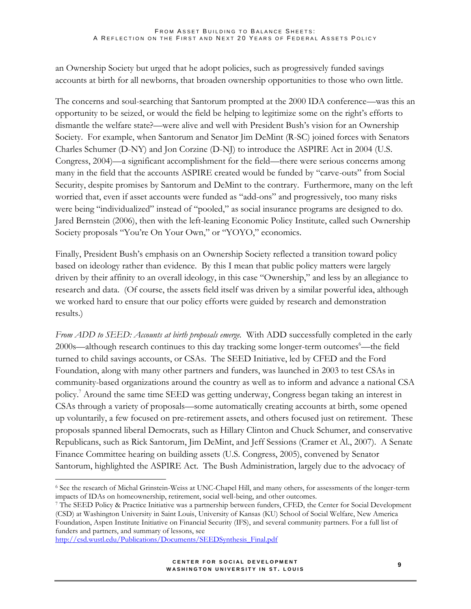an Ownership Society but urged that he adopt policies, such as progressively funded savings accounts at birth for all newborns, that broaden ownership opportunities to those who own little.

The concerns and soul-searching that Santorum prompted at the 2000 IDA conference—was this an opportunity to be seized, or would the field be helping to legitimize some on the right's efforts to dismantle the welfare state?—were alive and well with President Bush's vision for an Ownership Society. For example, when Santorum and Senator Jim DeMint (R-SC) joined forces with Senators Charles Schumer (D-NY) and Jon Corzine (D-NJ) to introduce the ASPIRE Act in 2004 (U.S. Congress, 2004)—a significant accomplishment for the field—there were serious concerns among many in the field that the accounts ASPIRE created would be funded by "carve-outs" from Social Security, despite promises by Santorum and DeMint to the contrary. Furthermore, many on the left worried that, even if asset accounts were funded as "add-ons" and progressively, too many risks were being "individualized" instead of "pooled," as social insurance programs are designed to do. Jared Bernstein (2006), then with the left-leaning Economic Policy Institute, called such Ownership Society proposals "You're On Your Own," or "YOYO," economics.

Finally, President Bush's emphasis on an Ownership Society reflected a transition toward policy based on ideology rather than evidence. By this I mean that public policy matters were largely driven by their affinity to an overall ideology, in this case "Ownership," and less by an allegiance to research and data. (Of course, the assets field itself was driven by a similar powerful idea, although we worked hard to ensure that our policy efforts were guided by research and demonstration results.)

*From ADD to SEED: Accounts at birth proposals emerge.* With ADD successfully completed in the early 2000s—although research continues to this day tracking some longer-term outcomes<sup>6</sup>—the field turned to child savings accounts, or CSAs. The SEED Initiative, led by CFED and the Ford Foundation, along with many other partners and funders, was launched in 2003 to test CSAs in community-based organizations around the country as well as to inform and advance a national CSA policy.<sup>7</sup> Around the same time SEED was getting underway, Congress began taking an interest in CSAs through a variety of proposals—some automatically creating accounts at birth, some opened up voluntarily, a few focused on pre-retirement assets, and others focused just on retirement. These proposals spanned liberal Democrats, such as Hillary Clinton and Chuck Schumer, and conservative Republicans, such as Rick Santorum, Jim DeMint, and Jeff Sessions (Cramer et Al., 2007). A Senate Finance Committee hearing on building assets (U.S. Congress, 2005), convened by Senator Santorum, highlighted the ASPIRE Act. The Bush Administration, largely due to the advocacy of

[http://csd.wustl.edu/Publications/Documents/SEEDSynthesis\\_Final.pdf](http://csd.wustl.edu/Publications/Documents/SEEDSynthesis_Final.pdf)

<sup>6</sup> See the research of Michal Grinstein-Weiss at UNC-Chapel Hill, and many others, for assessments of the longer-term impacts of IDAs on homeownership, retirement, social well-being, and other outcomes.

<sup>7</sup> The SEED Policy & Practice Initiative was a partnership between funders, CFED, [the Center for Social Development](http://development.cfed.org/focus.m?parentid=31&siteid=288&id=296)  [\(CSD\) at Washington University in Saint Louis, University of Kansas \(KU\) School of Social Welfare, New America](http://development.cfed.org/focus.m?parentid=31&siteid=288&id=296)  [Foundation,](http://development.cfed.org/focus.m?parentid=31&siteid=288&id=296) [Aspen Institute Initiative on Financial Security \(IFS\),](http://www.cfed.org/focus.m?parentid=288&siteid=288&id=296) and several community partners. For a full list of funders and partners, and summary of lessons, see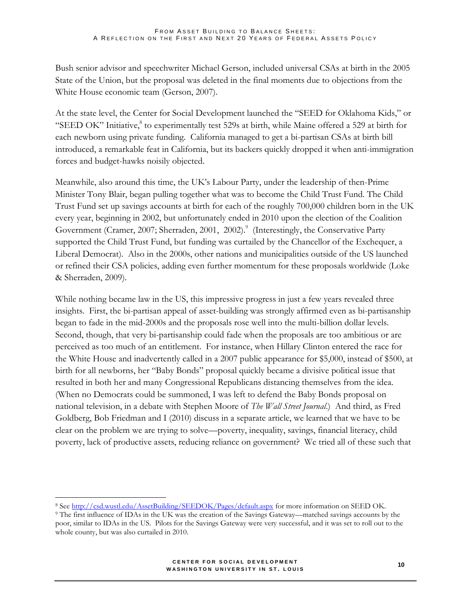Bush senior advisor and speechwriter Michael Gerson, included universal CSAs at birth in the 2005 State of the Union, but the proposal was deleted in the final moments due to objections from the White House economic team (Gerson, 2007).

At the state level, the Center for Social Development launched the "SEED for Oklahoma Kids," or "SEED OK" Initiative,<sup>8</sup> to experimentally test 529s at birth, while Maine offered a 529 at birth for each newborn using private funding. California managed to get a bi-partisan CSAs at birth bill introduced, a remarkable feat in California, but its backers quickly dropped it when anti-immigration forces and budget-hawks noisily objected.

Meanwhile, also around this time, the UK's Labour Party, under the leadership of then-Prime Minister Tony Blair, began pulling together what was to become the Child Trust Fund. The Child Trust Fund set up savings accounts at birth for each of the roughly 700,000 children born in the UK every year, beginning in 2002, but unfortunately ended in 2010 upon the election of the Coalition Government (Cramer, 2007; Sherraden, 2001, 2002).<sup>9</sup> (Interestingly, the Conservative Party supported the Child Trust Fund, but funding was curtailed by the Chancellor of the Exchequer, a Liberal Democrat). Also in the 2000s, other nations and municipalities outside of the US launched or refined their CSA policies, adding even further momentum for these proposals worldwide (Loke & Sherraden, 2009).

While nothing became law in the US, this impressive progress in just a few years revealed three insights. First, the bi-partisan appeal of asset-building was strongly affirmed even as bi-partisanship began to fade in the mid-2000s and the proposals rose well into the multi-billion dollar levels. Second, though, that very bi-partisanship could fade when the proposals are too ambitious or are perceived as too much of an entitlement. For instance, when Hillary Clinton entered the race for the White House and inadvertently called in a 2007 public appearance for \$5,000, instead of \$500, at birth for all newborns, her "Baby Bonds" proposal quickly became a divisive political issue that resulted in both her and many Congressional Republicans distancing themselves from the idea. (When no Democrats could be summoned, I was left to defend the Baby Bonds proposal on national television, in a debate with Stephen Moore of *The Wall Street Journal*.) And third, as Fred Goldberg, Bob Friedman and I (2010) discuss in a separate article, we learned that we have to be clear on the problem we are trying to solve—poverty, inequality, savings, financial literacy, child poverty, lack of productive assets, reducing reliance on government? We tried all of these such that

<sup>8</sup> See<http://csd.wustl.edu/AssetBuilding/SEEDOK/Pages/default.aspx> for more information on SEED OK.

<sup>9</sup> The first influence of IDAs in the UK was the creation of the Savings Gateway—matched savings accounts by the poor, similar to IDAs in the US. Pilots for the Savings Gateway were very successful, and it was set to roll out to the whole county, but was also curtailed in 2010.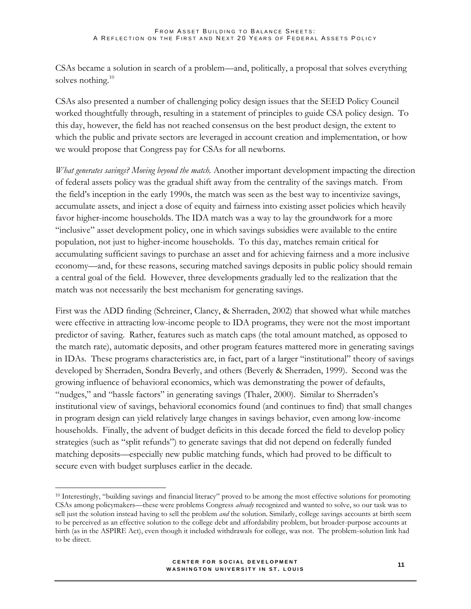CSAs became a solution in search of a problem—and, politically, a proposal that solves everything solves nothing.<sup>10</sup>

CSAs also presented a number of challenging policy design issues that the SEED Policy Council worked thoughtfully through, resulting in a statement of principles to guide CSA policy design. To this day, however, the field has not reached consensus on the best product design, the extent to which the public and private sectors are leveraged in account creation and implementation, or how we would propose that Congress pay for CSAs for all newborns.

*What generates savings? Moving beyond the match.* Another important development impacting the direction of federal assets policy was the gradual shift away from the centrality of the savings match. From the field's inception in the early 1990s, the match was seen as the best way to incentivize savings, accumulate assets, and inject a dose of equity and fairness into existing asset policies which heavily favor higher-income households. The IDA match was a way to lay the groundwork for a more "inclusive" asset development policy, one in which savings subsidies were available to the entire population, not just to higher-income households. To this day, matches remain critical for accumulating sufficient savings to purchase an asset and for achieving fairness and a more inclusive economy—and, for these reasons, securing matched savings deposits in public policy should remain a central goal of the field. However, three developments gradually led to the realization that the match was not necessarily the best mechanism for generating savings.

First was the ADD finding (Schreiner, Clancy, & Sherraden, 2002) that showed what while matches were effective in attracting low-income people to IDA programs, they were not the most important predictor of saving. Rather, features such as match caps (the total amount matched, as opposed to the match rate), automatic deposits, and other program features mattered more in generating savings in IDAs. These programs characteristics are, in fact, part of a larger "institutional" theory of savings developed by Sherraden, Sondra Beverly, and others (Beverly & Sherraden, 1999). Second was the growing influence of behavioral economics, which was demonstrating the power of defaults, "nudges," and "hassle factors" in generating savings (Thaler, 2000). Similar to Sherraden's institutional view of savings, behavioral economics found (and continues to find) that small changes in program design can yield relatively large changes in savings behavior, even among low-income households. Finally, the advent of budget deficits in this decade forced the field to develop policy strategies (such as "split refunds") to generate savings that did not depend on federally funded matching deposits—especially new public matching funds, which had proved to be difficult to secure even with budget surpluses earlier in the decade.

<sup>10</sup> Interestingly, "building savings and financial literacy" proved to be among the most effective solutions for promoting CSAs among policymakers—these were problems Congress *already* recognized and wanted to solve, so our task was to sell just the solution instead having to sell the problem *and* the solution. Similarly, college savings accounts at birth seem to be perceived as an effective solution to the college debt and affordability problem, but broader-purpose accounts at birth (as in the ASPIRE Act), even though it included withdrawals for college, was not. The problem-solution link had to be direct.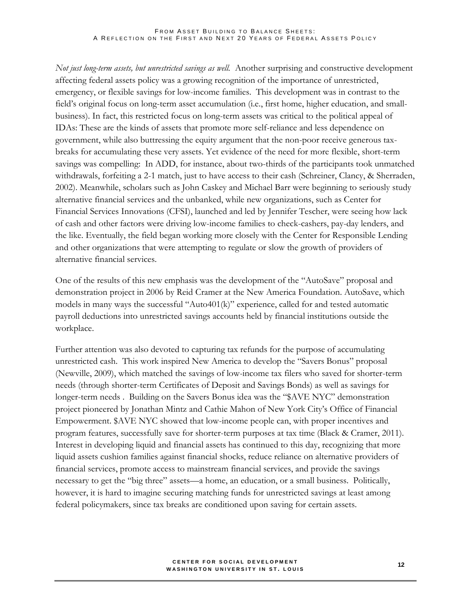#### FROM ASSET BUILDING TO BALANCE SHEETS: A REFLECTION ON THE FIRST AND NEXT 20 YEARS OF FEDERAL ASSETS POLICY

*Not just long-term assets, but unrestricted savings as well.* Another surprising and constructive development affecting federal assets policy was a growing recognition of the importance of unrestricted, emergency, or flexible savings for low-income families. This development was in contrast to the field's original focus on long-term asset accumulation (i.e., first home, higher education, and smallbusiness). In fact, this restricted focus on long-term assets was critical to the political appeal of IDAs: These are the kinds of assets that promote more self-reliance and less dependence on government, while also buttressing the equity argument that the non-poor receive generous taxbreaks for accumulating these very assets. Yet evidence of the need for more flexible, short-term savings was compelling: In ADD, for instance, about two-thirds of the participants took unmatched withdrawals, forfeiting a 2-1 match, just to have access to their cash (Schreiner, Clancy, & Sherraden, 2002). Meanwhile, scholars such as John Caskey and Michael Barr were beginning to seriously study alternative financial services and the unbanked, while new organizations, such as Center for Financial Services Innovations (CFSI), launched and led by Jennifer Tescher, were seeing how lack of cash and other factors were driving low-income families to check-cashers, pay-day lenders, and the like. Eventually, the field began working more closely with the Center for Responsible Lending and other organizations that were attempting to regulate or slow the growth of providers of alternative financial services.

One of the results of this new emphasis was the development of the "AutoSave" proposal and demonstration project in 2006 by Reid Cramer at the New America Foundation. AutoSave, which models in many ways the successful "Auto401(k)" experience, called for and tested automatic payroll deductions into unrestricted savings accounts held by financial institutions outside the workplace.

Further attention was also devoted to capturing tax refunds for the purpose of accumulating unrestricted cash. This work inspired New America to develop the "Savers Bonus" proposal (Newville, 2009), which matched the savings of low-income tax filers who saved for shorter-term needs (through shorter-term Certificates of Deposit and Savings Bonds) as well as savings for longer-term needs . Building on the Savers Bonus idea was the "\$AVE NYC" demonstration project pioneered by Jonathan Mintz and Cathie Mahon of New York City's Office of Financial Empowerment. \$AVE NYC showed that low-income people can, with proper incentives and program features, successfully save for shorter-term purposes at tax time (Black & Cramer, 2011). Interest in developing liquid and financial assets has continued to this day, recognizing that more liquid assets cushion families against financial shocks, reduce reliance on alternative providers of financial services, promote access to mainstream financial services, and provide the savings necessary to get the "big three" assets—a home, an education, or a small business. Politically, however, it is hard to imagine securing matching funds for unrestricted savings at least among federal policymakers, since tax breaks are conditioned upon saving for certain assets.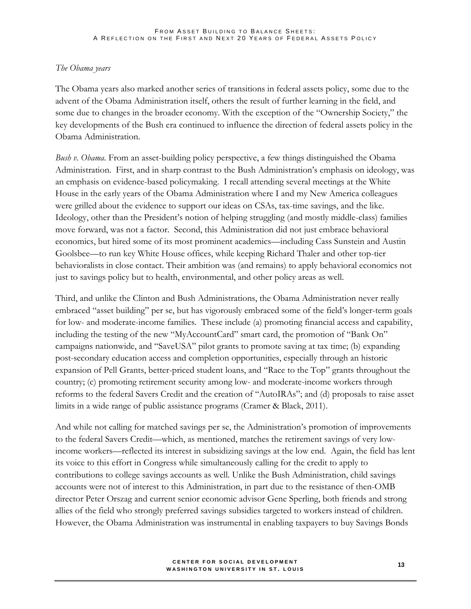### *The Obama years*

The Obama years also marked another series of transitions in federal assets policy, some due to the advent of the Obama Administration itself, others the result of further learning in the field, and some due to changes in the broader economy. With the exception of the "Ownership Society," the key developments of the Bush era continued to influence the direction of federal assets policy in the Obama Administration.

*Bush v. Obama.* From an asset-building policy perspective, a few things distinguished the Obama Administration. First, and in sharp contrast to the Bush Administration's emphasis on ideology, was an emphasis on evidence-based policymaking. I recall attending several meetings at the White House in the early years of the Obama Administration where I and my New America colleagues were grilled about the evidence to support our ideas on CSAs, tax-time savings, and the like. Ideology, other than the President's notion of helping struggling (and mostly middle-class) families move forward, was not a factor. Second, this Administration did not just embrace behavioral economics, but hired some of its most prominent academics—including Cass Sunstein and Austin Goolsbee—to run key White House offices, while keeping Richard Thaler and other top-tier behavioralists in close contact. Their ambition was (and remains) to apply behavioral economics not just to savings policy but to health, environmental, and other policy areas as well.

Third, and unlike the Clinton and Bush Administrations, the Obama Administration never really embraced "asset building" per se, but has vigorously embraced some of the field's longer-term goals for low- and moderate-income families. These include (a) promoting financial access and capability, including the testing of the new "MyAccountCard" smart card, the promotion of "Bank On" campaigns nationwide, and "SaveUSA" pilot grants to promote saving at tax time; (b) expanding post-secondary education access and completion opportunities, especially through an historic expansion of Pell Grants, better-priced student loans, and "Race to the Top" grants throughout the country; (c) promoting retirement security among low- and moderate-income workers through reforms to the federal Savers Credit and the creation of "AutoIRAs"; and (d) proposals to raise asset limits in a wide range of public assistance programs (Cramer & Black, 2011).

And while not calling for matched savings per se, the Administration's promotion of improvements to the federal Savers Credit—which, as mentioned, matches the retirement savings of very lowincome workers—reflected its interest in subsidizing savings at the low end. Again, the field has lent its voice to this effort in Congress while simultaneously calling for the credit to apply to contributions to college savings accounts as well. Unlike the Bush Administration, child savings accounts were not of interest to this Administration, in part due to the resistance of then-OMB director Peter Orszag and current senior economic advisor Gene Sperling, both friends and strong allies of the field who strongly preferred savings subsidies targeted to workers instead of children. However, the Obama Administration was instrumental in enabling taxpayers to buy Savings Bonds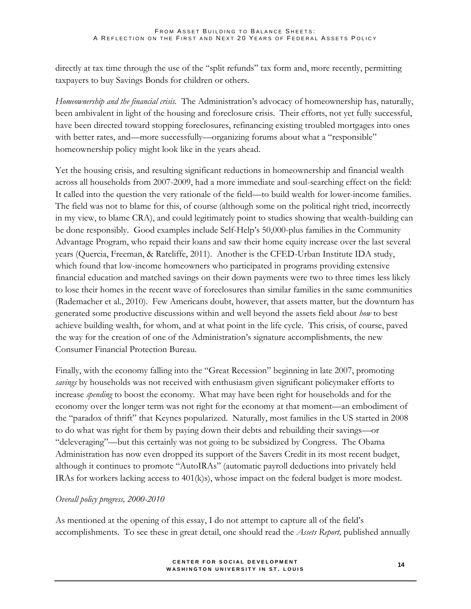directly at tax time through the use of the "split refunds" tax form and, more recently, permitting taxpayers to buy Savings Bonds for children or others.

*Homeownership and the financial crisis.* The Administration's advocacy of homeownership has, naturally, been ambivalent in light of the housing and foreclosure crisis. Their efforts, not yet fully successful, have been directed toward stopping foreclosures, refinancing existing troubled mortgages into ones with better rates, and—more successfully—organizing forums about what a "responsible" homeownership policy might look like in the years ahead.

Yet the housing crisis, and resulting significant reductions in homeownership and financial wealth across all households from 2007-2009, had a more immediate and soul-searching effect on the field: It called into the question the very rationale of the field—to build wealth for lower-income families. The field was not to blame for this, of course (although some on the political right tried, incorrectly in my view, to blame CRA), and could legitimately point to studies showing that wealth-building can be done responsibly. Good examples include Self-Help's 50,000-plus families in the Community Advantage Program, who repaid their loans and saw their home equity increase over the last several years (Quercia, Freeman, & Ratcliffe, 2011). Another is the CFED-Urban Institute IDA study, which found that low-income homeowners who participated in programs providing extensive financial education and matched savings on their down payments were two to three times less likely to lose their homes in the recent wave of foreclosures than similar families in the same communities (Rademacher et al., 2010). Few Americans doubt, however, that assets matter, but the downturn has generated some productive discussions within and well beyond the assets field about *how* to best achieve building wealth, for whom, and at what point in the life cycle. This crisis, of course, paved the way for the creation of one of the Administration's signature accomplishments, the new Consumer Financial Protection Bureau.

Finally, with the economy falling into the "Great Recession" beginning in late 2007, promoting *savings* by households was not received with enthusiasm given significant policymaker efforts to increase *spending* to boost the economy. What may have been right for households and for the economy over the longer term was not right for the economy at that moment—an embodiment of the "paradox of thrift" that Keynes popularized. Naturally, most families in the US started in 2008 to do what was right for them by paying down their debts and rebuilding their savings—or "deleveraging"—but this certainly was not going to be subsidized by Congress. The Obama Administration has now even dropped its support of the Savers Credit in its most recent budget, although it continues to promote "AutoIRAs" (automatic payroll deductions into privately held IRAs for workers lacking access to 401(k)s), whose impact on the federal budget is more modest.

## *Overall policy progress, 2000-2010*

As mentioned at the opening of this essay, I do not attempt to capture all of the field's accomplishments. To see these in great detail, one should read the *Assets Report,* published annually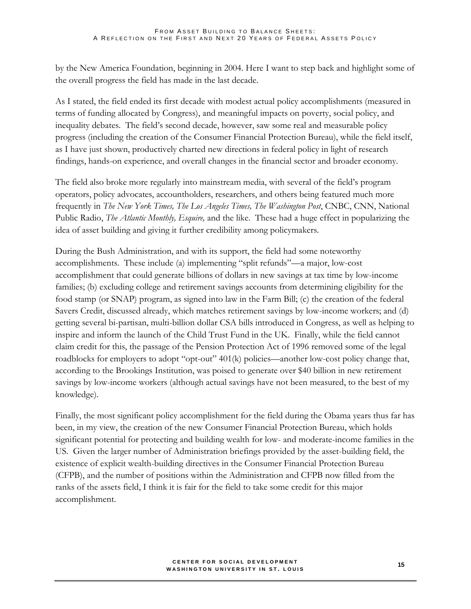by the New America Foundation, beginning in 2004. Here I want to step back and highlight some of the overall progress the field has made in the last decade.

As I stated, the field ended its first decade with modest actual policy accomplishments (measured in terms of funding allocated by Congress), and meaningful impacts on poverty, social policy, and inequality debates. The field's second decade, however, saw some real and measurable policy progress (including the creation of the Consumer Financial Protection Bureau), while the field itself, as I have just shown, productively charted new directions in federal policy in light of research findings, hands-on experience, and overall changes in the financial sector and broader economy.

The field also broke more regularly into mainstream media, with several of the field's program operators, policy advocates, accountholders, researchers, and others being featured much more frequently in *The New York Times, The Los Angeles Times, The Washington Post*, CNBC, CNN, National Public Radio, *The Atlantic Monthly, Esquire,* and the like. These had a huge effect in popularizing the idea of asset building and giving it further credibility among policymakers.

During the Bush Administration, and with its support, the field had some noteworthy accomplishments. These include (a) implementing "split refunds"—a major, low-cost accomplishment that could generate billions of dollars in new savings at tax time by low-income families; (b) excluding college and retirement savings accounts from determining eligibility for the food stamp (or SNAP) program, as signed into law in the Farm Bill; (c) the creation of the federal Savers Credit, discussed already, which matches retirement savings by low-income workers; and (d) getting several bi-partisan, multi-billion dollar CSA bills introduced in Congress, as well as helping to inspire and inform the launch of the Child Trust Fund in the UK. Finally, while the field cannot claim credit for this, the passage of the Pension Protection Act of 1996 removed some of the legal roadblocks for employers to adopt "opt-out" 401(k) policies—another low-cost policy change that, according to the Brookings Institution, was poised to generate over \$40 billion in new retirement savings by low-income workers (although actual savings have not been measured, to the best of my knowledge).

Finally, the most significant policy accomplishment for the field during the Obama years thus far has been, in my view, the creation of the new Consumer Financial Protection Bureau, which holds significant potential for protecting and building wealth for low- and moderate-income families in the US. Given the larger number of Administration briefings provided by the asset-building field, the existence of explicit wealth-building directives in the Consumer Financial Protection Bureau (CFPB), and the number of positions within the Administration and CFPB now filled from the ranks of the assets field, I think it is fair for the field to take some credit for this major accomplishment.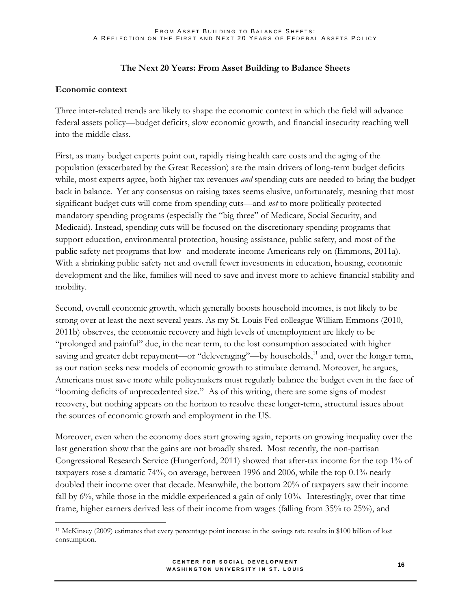## **The Next 20 Years: From Asset Building to Balance Sheets**

## **Economic context**

 $\overline{a}$ 

Three inter-related trends are likely to shape the economic context in which the field will advance federal assets policy—budget deficits, slow economic growth, and financial insecurity reaching well into the middle class.

First, as many budget experts point out, rapidly rising health care costs and the aging of the population (exacerbated by the Great Recession) are the main drivers of long-term budget deficits while, most experts agree, both higher tax revenues *and* spending cuts are needed to bring the budget back in balance. Yet any consensus on raising taxes seems elusive, unfortunately, meaning that most significant budget cuts will come from spending cuts—and *not* to more politically protected mandatory spending programs (especially the "big three" of Medicare, Social Security, and Medicaid). Instead, spending cuts will be focused on the discretionary spending programs that support education, environmental protection, housing assistance, public safety, and most of the public safety net programs that low- and moderate-income Americans rely on (Emmons, 2011a). With a shrinking public safety net and overall fewer investments in education, housing, economic development and the like, families will need to save and invest more to achieve financial stability and mobility.

Second, overall economic growth, which generally boosts household incomes, is not likely to be strong over at least the next several years. As my St. Louis Fed colleague William Emmons (2010, 2011b) observes, the economic recovery and high levels of unemployment are likely to be "prolonged and painful" due, in the near term, to the lost consumption associated with higher saving and greater debt repayment—or "deleveraging"—by households,<sup>11</sup> and, over the longer term, as our nation seeks new models of economic growth to stimulate demand. Moreover, he argues, Americans must save more while policymakers must regularly balance the budget even in the face of "looming deficits of unprecedented size." As of this writing, there are some signs of modest recovery, but nothing appears on the horizon to resolve these longer-term, structural issues about the sources of economic growth and employment in the US.

Moreover, even when the economy does start growing again, reports on growing inequality over the last generation show that the gains are not broadly shared. Most recently, the non-partisan Congressional Research Service (Hungerford, 2011) showed that after-tax income for the top 1% of taxpayers rose a dramatic 74%, on average, between 1996 and 2006, while the top 0.1% nearly doubled their income over that decade. Meanwhile, the bottom 20% of taxpayers saw their income fall by 6%, while those in the middle experienced a gain of only 10%. Interestingly, over that time frame, higher earners derived less of their income from wages (falling from 35% to 25%), and

#### **C E N T E R F O R S O C I A L D E V E L O P M E N T WASHINGTON UNIVERSITY IN ST. LOUIS**

<sup>11</sup> McKinsey (2009) estimates that every percentage point increase in the savings rate results in \$100 billion of lost consumption.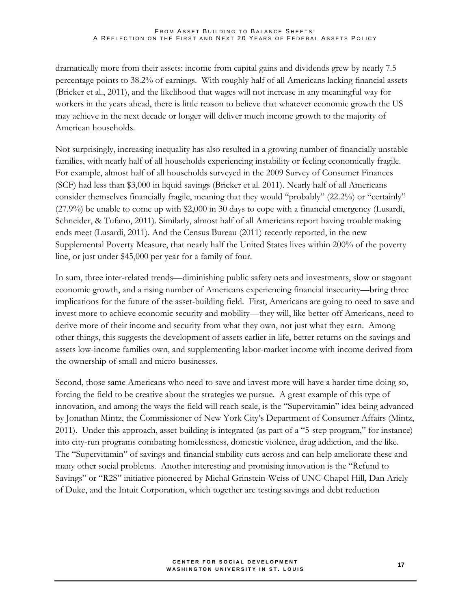dramatically more from their assets: income from capital gains and dividends grew by nearly 7.5 percentage points to 38.2% of earnings. With roughly half of all Americans lacking financial assets (Bricker et al., 2011), and the likelihood that wages will not increase in any meaningful way for workers in the years ahead, there is little reason to believe that whatever economic growth the US may achieve in the next decade or longer will deliver much income growth to the majority of American households.

Not surprisingly, increasing inequality has also resulted in a growing number of financially unstable families, with nearly half of all households experiencing instability or feeling economically fragile. For example, almost half of all households surveyed in the 2009 Survey of Consumer Finances (SCF) had less than \$3,000 in liquid savings (Bricker et al. 2011). Nearly half of all Americans consider themselves financially fragile, meaning that they would "probably" (22.2%) or "certainly" (27.9%) be unable to come up with \$2,000 in 30 days to cope with a financial emergency (Lusardi, Schneider, & Tufano, 2011). Similarly, almost half of all Americans report having trouble making ends meet (Lusardi, 2011). And the Census Bureau (2011) recently reported, in the new Supplemental Poverty Measure, that nearly half the United States lives within 200% of the poverty line, or just under \$45,000 per year for a family of four.

In sum, three inter-related trends—diminishing public safety nets and investments, slow or stagnant economic growth, and a rising number of Americans experiencing financial insecurity—bring three implications for the future of the asset-building field. First, Americans are going to need to save and invest more to achieve economic security and mobility—they will, like better-off Americans, need to derive more of their income and security from what they own, not just what they earn. Among other things, this suggests the development of assets earlier in life, better returns on the savings and assets low-income families own, and supplementing labor-market income with income derived from the ownership of small and micro-businesses.

Second, those same Americans who need to save and invest more will have a harder time doing so, forcing the field to be creative about the strategies we pursue. A great example of this type of innovation, and among the ways the field will reach scale, is the "Supervitamin" idea being advanced by Jonathan Mintz, the Commissioner of New York City's Department of Consumer Affairs (Mintz, 2011). Under this approach, asset building is integrated (as part of a "5-step program," for instance) into city-run programs combating homelessness, domestic violence, drug addiction, and the like. The "Supervitamin" of savings and financial stability cuts across and can help ameliorate these and many other social problems. Another interesting and promising innovation is the "Refund to Savings" or "R2S" initiative pioneered by Michal Grinstein-Weiss of UNC-Chapel Hill, Dan Ariely of Duke, and the Intuit Corporation, which together are testing savings and debt reduction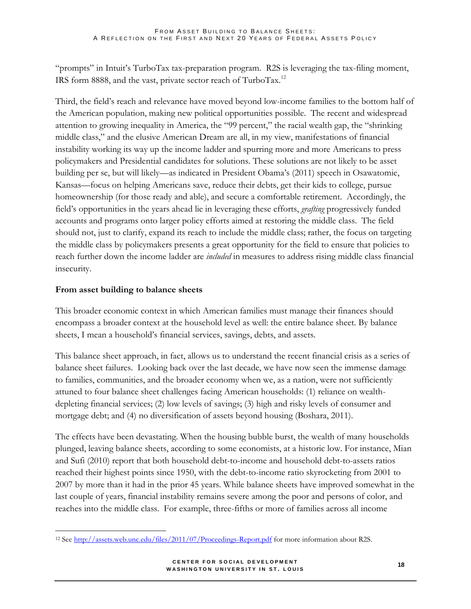"prompts" in Intuit's TurboTax tax-preparation program. R2S is leveraging the tax-filing moment, IRS form 8888, and the vast, private sector reach of TurboTax.<sup>12</sup>

Third, the field's reach and relevance have moved beyond low-income families to the bottom half of the American population, making new political opportunities possible. The recent and widespread attention to growing inequality in America, the "99 percent," the racial wealth gap, the "shrinking middle class," and the elusive American Dream are all, in my view, manifestations of financial instability working its way up the income ladder and spurring more and more Americans to press policymakers and Presidential candidates for solutions. These solutions are not likely to be asset building per se, but will likely—as indicated in President Obama's (2011) speech in Osawatomie, Kansas—focus on helping Americans save, reduce their debts, get their kids to college, pursue homeownership (for those ready and able), and secure a comfortable retirement. Accordingly, the field's opportunities in the years ahead lie in leveraging these efforts, *grafting* progressively funded accounts and programs onto larger policy efforts aimed at restoring the middle class. The field should not, just to clarify, expand its reach to include the middle class; rather, the focus on targeting the middle class by policymakers presents a great opportunity for the field to ensure that policies to reach further down the income ladder are *included* in measures to address rising middle class financial insecurity.

## **From asset building to balance sheets**

This broader economic context in which American families must manage their finances should encompass a broader context at the household level as well: the entire balance sheet. By balance sheets, I mean a household's financial services, savings, debts, and assets.

This balance sheet approach, in fact, allows us to understand the recent financial crisis as a series of balance sheet failures. Looking back over the last decade, we have now seen the immense damage to families, communities, and the broader economy when we, as a nation, were not sufficiently attuned to four balance sheet challenges facing American households: (1) reliance on wealthdepleting financial services; (2) low levels of savings; (3) high and risky levels of consumer and mortgage debt; and (4) no diversification of assets beyond housing (Boshara, 2011).

The effects have been devastating. When the housing bubble burst, the wealth of many households plunged, leaving balance sheets, according to some economists, at a historic low. For instance, Mian and Sufi (2010) report that both household debt-to-income and household debt-to-assets ratios reached their highest points since 1950, with the debt-to-income ratio skyrocketing from 2001 to 2007 by more than it had in the prior 45 years. While balance sheets have improved somewhat in the last couple of years, financial instability remains severe among the poor and persons of color, and reaches into the middle class. For example, three-fifths or more of families across all income

 $\overline{a}$ <sup>12</sup> See<http://assets.web.unc.edu/files/2011/07/Proceedings-Report.pdf> for more information about R2S.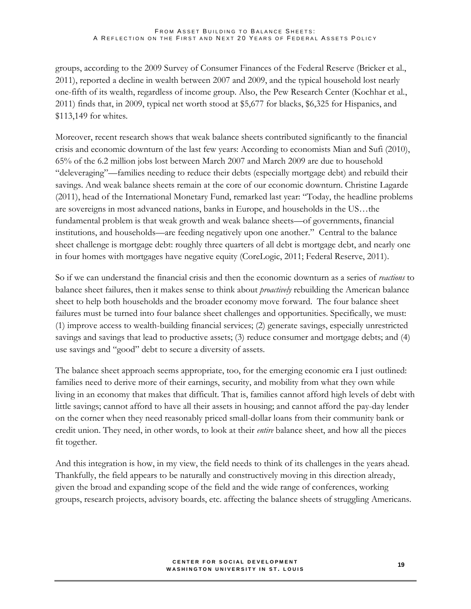groups, according to the 2009 Survey of Consumer Finances of the Federal Reserve (Bricker et al., 2011), reported a decline in wealth between 2007 and 2009, and the typical household lost nearly one-fifth of its wealth, regardless of income group. Also, the Pew Research Center (Kochhar et al., 2011) finds that, in 2009, typical net worth stood at \$5,677 for blacks, \$6,325 for Hispanics, and \$113,149 for whites.

Moreover, recent research shows that weak balance sheets contributed significantly to the financial crisis and economic downturn of the last few years: According to economists Mian and Sufi (2010), 65% of the 6.2 million jobs lost between March 2007 and March 2009 are due to household "deleveraging"—families needing to reduce their debts (especially mortgage debt) and rebuild their savings. And weak balance sheets remain at the core of our economic downturn. Christine Lagarde (2011), head of the International Monetary Fund, remarked last year: "Today, the headline problems are sovereigns in most advanced nations, banks in Europe, and households in the US…the fundamental problem is that weak growth and weak balance sheets—of governments, financial institutions, and households—are feeding negatively upon one another." Central to the balance sheet challenge is mortgage debt: roughly three quarters of all debt is mortgage debt, and nearly one in four homes with mortgages have negative equity (CoreLogic, 2011; Federal Reserve, 2011).

So if we can understand the financial crisis and then the economic downturn as a series of *reactions* to balance sheet failures, then it makes sense to think about *proactively* rebuilding the American balance sheet to help both households and the broader economy move forward. The four balance sheet failures must be turned into four balance sheet challenges and opportunities. Specifically, we must: (1) improve access to wealth-building financial services; (2) generate savings, especially unrestricted savings and savings that lead to productive assets; (3) reduce consumer and mortgage debts; and (4) use savings and "good" debt to secure a diversity of assets.

The balance sheet approach seems appropriate, too, for the emerging economic era I just outlined: families need to derive more of their earnings, security, and mobility from what they own while living in an economy that makes that difficult. That is, families cannot afford high levels of debt with little savings; cannot afford to have all their assets in housing; and cannot afford the pay-day lender on the corner when they need reasonably priced small-dollar loans from their community bank or credit union. They need, in other words, to look at their *entire* balance sheet, and how all the pieces fit together.

And this integration is how, in my view, the field needs to think of its challenges in the years ahead. Thankfully, the field appears to be naturally and constructively moving in this direction already, given the broad and expanding scope of the field and the wide range of conferences, working groups, research projects, advisory boards, etc. affecting the balance sheets of struggling Americans.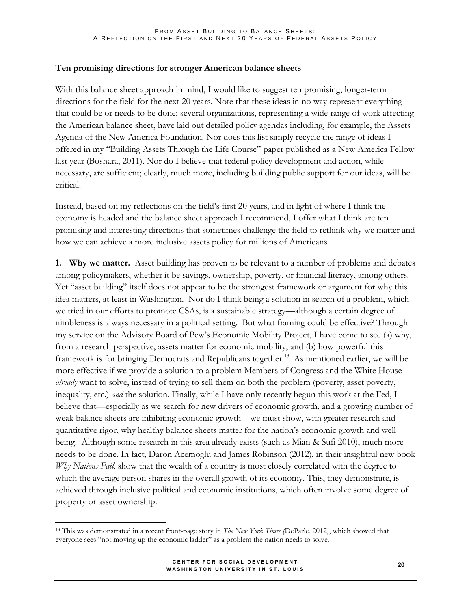### **Ten promising directions for stronger American balance sheets**

With this balance sheet approach in mind, I would like to suggest ten promising, longer-term directions for the field for the next 20 years. Note that these ideas in no way represent everything that could be or needs to be done; several organizations, representing a wide range of work affecting the American balance sheet, have laid out detailed policy agendas including, for example, the Assets Agenda of the New America Foundation. Nor does this list simply recycle the range of ideas I offered in my "Building Assets Through the Life Course" paper published as a New America Fellow last year (Boshara, 2011). Nor do I believe that federal policy development and action, while necessary, are sufficient; clearly, much more, including building public support for our ideas, will be critical.

Instead, based on my reflections on the field's first 20 years, and in light of where I think the economy is headed and the balance sheet approach I recommend, I offer what I think are ten promising and interesting directions that sometimes challenge the field to rethink why we matter and how we can achieve a more inclusive assets policy for millions of Americans.

**1. Why we matter.** Asset building has proven to be relevant to a number of problems and debates among policymakers, whether it be savings, ownership, poverty, or financial literacy, among others. Yet "asset building" itself does not appear to be the strongest framework or argument for why this idea matters, at least in Washington. Nor do I think being a solution in search of a problem, which we tried in our efforts to promote CSAs, is a sustainable strategy—although a certain degree of nimbleness is always necessary in a political setting. But what framing could be effective? Through my service on the Advisory Board of Pew's Economic Mobility Project, I have come to see (a) why, from a research perspective, assets matter for economic mobility, and (b) how powerful this framework is for bringing Democrats and Republicans together.<sup>13</sup> As mentioned earlier, we will be more effective if we provide a solution to a problem Members of Congress and the White House *already* want to solve, instead of trying to sell them on both the problem (poverty, asset poverty, inequality, etc.) *and* the solution. Finally, while I have only recently begun this work at the Fed, I believe that—especially as we search for new drivers of economic growth, and a growing number of weak balance sheets are inhibiting economic growth—we must show, with greater research and quantitative rigor, why healthy balance sheets matter for the nation's economic growth and wellbeing. Although some research in this area already exists (such as Mian & Sufi 2010), much more needs to be done. In fact, Daron Acemoglu and James Robinson (2012), in their insightful new book *Why Nations Fail*, show that the wealth of a country is most closely correlated with the degree to which the average person shares in the overall growth of its economy. This, they demonstrate, is achieved through inclusive political and economic institutions, which often involve some degree of property or asset ownership.

<sup>13</sup> This was demonstrated in a recent front-page story in *The New York Times (*DeParle, 2012), which showed that everyone sees "not moving up the economic ladder" as a problem the nation needs to solve.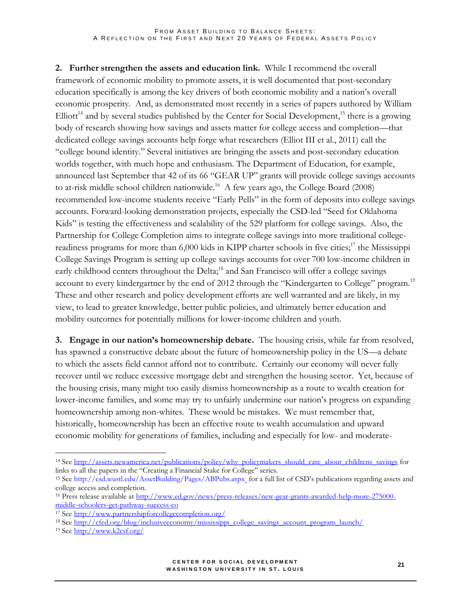**2. Further strengthen the assets and education link.** While I recommend the overall framework of economic mobility to promote assets, it is well documented that post-secondary education specifically is among the key drivers of both economic mobility and a nation's overall economic prosperity. And, as demonstrated most recently in a series of papers authored by William  $Elliot<sup>14</sup>$  and by several studies published by the Center for Social Development,<sup>15</sup> there is a growing body of research showing how savings and assets matter for college access and completion—that dedicated college savings accounts help forge what researchers (Elliot III et al., 2011) call the "college bound identity." Several initiatives are bringing the assets and post-secondary education worlds together, with much hope and enthusiasm. The Department of Education, for example, announced last September that 42 of its 66 "GEAR UP" grants will provide college savings accounts to at-risk middle school children nationwide.<sup>16</sup> A few years ago, the College Board (2008) recommended low-income students receive "Early Pells" in the form of deposits into college savings accounts. Forward-looking demonstration projects, especially the CSD-led "Seed for Oklahoma Kids" is testing the effectiveness and scalability of the 529 platform for college savings. Also, the Partnership for College Completion aims to integrate college savings into more traditional collegereadiness programs for more than 6,000 kids in KIPP charter schools in five cities;<sup>17</sup> the Mississippi College Savings Program is setting up college savings accounts for over 700 low-income children in early childhood centers throughout the Delta;<sup>18</sup> and San Francisco will offer a college savings account to every kindergartner by the end of 2012 through the "Kindergarten to College" program.<sup>19</sup> These and other research and policy development efforts are well warranted and are likely, in my view, to lead to greater knowledge, better public policies, and ultimately better education and mobility outcomes for potentially millions for lower-income children and youth.

**3. Engage in our nation's homeownership debate.** The housing crisis, while far from resolved, has spawned a constructive debate about the future of homeownership policy in the US—a debate to which the assets field cannot afford not to contribute. Certainly our economy will never fully recover until we reduce excessive mortgage debt and strengthen the housing sector. Yet, because of the housing crisis, many might too easily dismiss homeownership as a route to wealth creation for lower-income families, and some may try to unfairly undermine our nation's progress on expanding homeownership among non-whites. These would be mistakes. We must remember that, historically, homeownership has been an effective route to wealth accumulation and upward economic mobility for generations of families, including and especially for low- and moderate-

<sup>&</sup>lt;sup>14</sup> See [http://assets.newamerica.net/publications/policy/why\\_policymakers\\_should\\_care\\_about\\_childrens\\_savings](http://assets.newamerica.net/publications/policy/why_policymakers_should_care_about_childrens_savings) for links to all the papers in the "Creating a Financial Stake for College" series.

<sup>15</sup> See<http://csd.wustl.edu/AssetBuilding/Pages/ABPubs.aspx> for a full list of CSD's publications regarding assets and college access and completion.

<sup>&</sup>lt;sup>16</sup> Press release available at [http://www.ed.gov/news/press-releases/new-gear-grants-awarded-help-more-275000](http://www.ed.gov/news/press-releases/new-gear-grants-awarded-help-more-275000-middle-schoolers-get-pathway-success-co) [middle-schoolers-get-pathway-success-co](http://www.ed.gov/news/press-releases/new-gear-grants-awarded-help-more-275000-middle-schoolers-get-pathway-success-co)

<sup>17</sup> See<http://www.partnershipforcollegecompletion.org/>

<sup>&</sup>lt;sup>18</sup> See [http://cfed.org/blog/inclusiveeconomy/mississippi\\_college\\_savings\\_account\\_program\\_launch/](http://cfed.org/blog/inclusiveeconomy/mississippi_college_savings_account_program_launch/)

<sup>19</sup> See<http://www.k2csf.org/>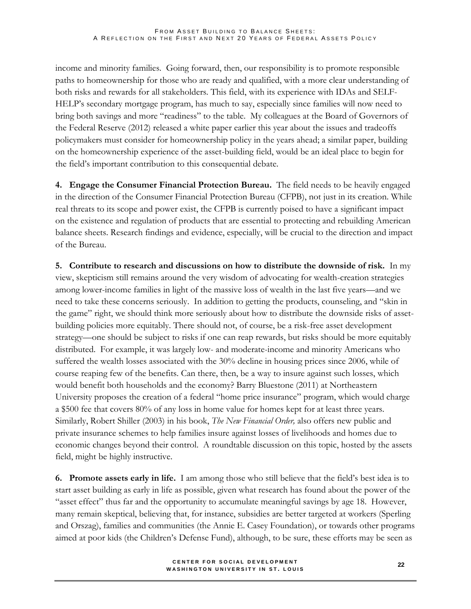income and minority families. Going forward, then, our responsibility is to promote responsible paths to homeownership for those who are ready and qualified, with a more clear understanding of both risks and rewards for all stakeholders. This field, with its experience with IDAs and SELF-HELP's secondary mortgage program, has much to say, especially since families will now need to bring both savings and more "readiness" to the table. My colleagues at the Board of Governors of the Federal Reserve (2012) released a white paper earlier this year about the issues and tradeoffs policymakers must consider for homeownership policy in the years ahead; a similar paper, building on the homeownership experience of the asset-building field, would be an ideal place to begin for the field's important contribution to this consequential debate.

**4. Engage the Consumer Financial Protection Bureau.** The field needs to be heavily engaged in the direction of the Consumer Financial Protection Bureau (CFPB), not just in its creation. While real threats to its scope and power exist, the CFPB is currently poised to have a significant impact on the existence and regulation of products that are essential to protecting and rebuilding American balance sheets. Research findings and evidence, especially, will be crucial to the direction and impact of the Bureau.

**5. Contribute to research and discussions on how to distribute the downside of risk.** In my view, skepticism still remains around the very wisdom of advocating for wealth-creation strategies among lower-income families in light of the massive loss of wealth in the last five years—and we need to take these concerns seriously. In addition to getting the products, counseling, and "skin in the game" right, we should think more seriously about how to distribute the downside risks of assetbuilding policies more equitably. There should not, of course, be a risk-free asset development strategy—one should be subject to risks if one can reap rewards, but risks should be more equitably distributed. For example, it was largely low- and moderate-income and minority Americans who suffered the wealth losses associated with the 30% decline in housing prices since 2006, while of course reaping few of the benefits. Can there, then, be a way to insure against such losses, which would benefit both households and the economy? Barry Bluestone (2011) at Northeastern University proposes the creation of a federal "home price insurance" program, which would charge a \$500 fee that covers 80% of any loss in home value for homes kept for at least three years. Similarly, Robert Shiller (2003) in his book, *The New Financial Order,* also offers new public and private insurance schemes to help families insure against losses of livelihoods and homes due to economic changes beyond their control. A roundtable discussion on this topic, hosted by the assets field, might be highly instructive.

**6. Promote assets early in life.** I am among those who still believe that the field's best idea is to start asset building as early in life as possible, given what research has found about the power of the "asset effect" thus far and the opportunity to accumulate meaningful savings by age 18. However, many remain skeptical, believing that, for instance, subsidies are better targeted at workers (Sperling and Orszag), families and communities (the Annie E. Casey Foundation), or towards other programs aimed at poor kids (the Children's Defense Fund), although, to be sure, these efforts may be seen as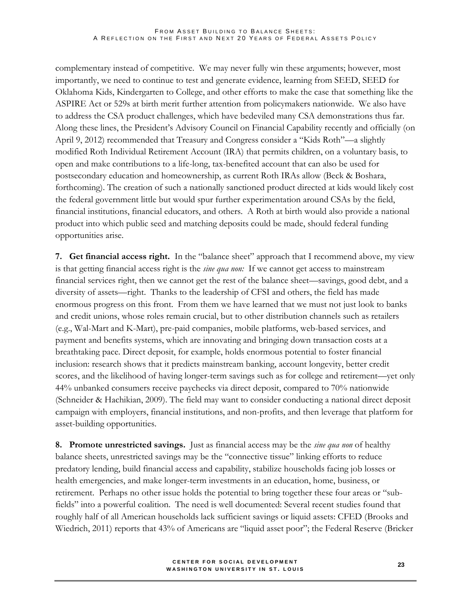complementary instead of competitive. We may never fully win these arguments; however, most importantly, we need to continue to test and generate evidence, learning from SEED, SEED for Oklahoma Kids, Kindergarten to College, and other efforts to make the case that something like the ASPIRE Act or 529s at birth merit further attention from policymakers nationwide. We also have to address the CSA product challenges, which have bedeviled many CSA demonstrations thus far. Along these lines, the President's Advisory Council on Financial Capability recently and officially (on April 9, 2012) recommended that Treasury and Congress consider a "Kids Roth"—a slightly modified Roth Individual Retirement Account (IRA) that permits children, on a voluntary basis, to open and make contributions to a life-long, tax-benefited account that can also be used for postsecondary education and homeownership, as current Roth IRAs allow (Beck & Boshara, forthcoming). The creation of such a nationally sanctioned product directed at kids would likely cost the federal government little but would spur further experimentation around CSAs by the field, financial institutions, financial educators, and others. A Roth at birth would also provide a national product into which public seed and matching deposits could be made, should federal funding opportunities arise.

**7. Get financial access right.** In the "balance sheet" approach that I recommend above, my view is that getting financial access right is the *sine qua non:* If we cannot get access to mainstream financial services right, then we cannot get the rest of the balance sheet—savings, good debt, and a diversity of assets—right. Thanks to the leadership of CFSI and others, the field has made enormous progress on this front. From them we have learned that we must not just look to banks and credit unions, whose roles remain crucial, but to other distribution channels such as retailers (e.g., Wal-Mart and K-Mart), pre-paid companies, mobile platforms, web-based services, and payment and benefits systems, which are innovating and bringing down transaction costs at a breathtaking pace. Direct deposit, for example, holds enormous potential to foster financial inclusion: research shows that it predicts mainstream banking, account longevity, better credit scores, and the likelihood of having longer-term savings such as for college and retirement—yet only 44% unbanked consumers receive paychecks via direct deposit, compared to 70% nationwide (Schneider & Hachikian, 2009). The field may want to consider conducting a national direct deposit campaign with employers, financial institutions, and non-profits, and then leverage that platform for asset-building opportunities.

**8. Promote unrestricted savings.** Just as financial access may be the *sine qua non* of healthy balance sheets, unrestricted savings may be the "connective tissue" linking efforts to reduce predatory lending, build financial access and capability, stabilize households facing job losses or health emergencies, and make longer-term investments in an education, home, business, or retirement. Perhaps no other issue holds the potential to bring together these four areas or "subfields" into a powerful coalition. The need is well documented: Several recent studies found that roughly half of all American households lack sufficient savings or liquid assets: CFED (Brooks and Wiedrich, 2011) reports that 43% of Americans are "liquid asset poor"; the Federal Reserve (Bricker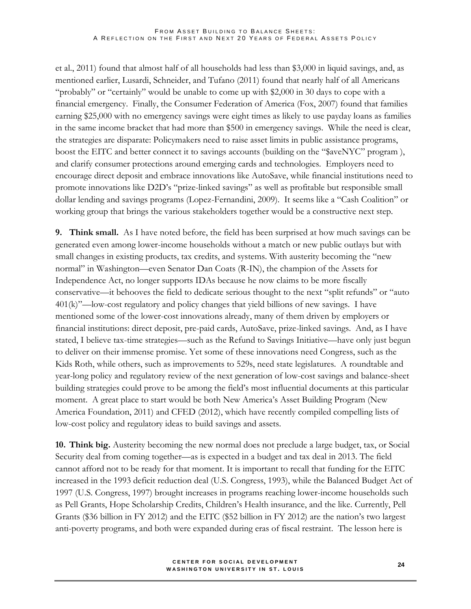#### FROM ASSET BUILDING TO BALANCE SHEETS: A REFLECTION ON THE FIRST AND NEXT 20 YEARS OF FEDERAL ASSETS POLICY

et al., 2011) found that almost half of all households had less than \$3,000 in liquid savings, and, as mentioned earlier, Lusardi, Schneider, and Tufano (2011) found that nearly half of all Americans "probably" or "certainly" would be unable to come up with \$2,000 in 30 days to cope with a financial emergency. Finally, the Consumer Federation of America (Fox, 2007) found that families earning \$25,000 with no emergency savings were eight times as likely to use payday loans as families in the same income bracket that had more than \$500 in emergency savings. While the need is clear, the strategies are disparate: Policymakers need to raise asset limits in public assistance programs, boost the EITC and better connect it to savings accounts (building on the "\$aveNYC" program ), and clarify consumer protections around emerging cards and technologies. Employers need to encourage direct deposit and embrace innovations like AutoSave, while financial institutions need to promote innovations like D2D's "prize-linked savings" as well as profitable but responsible small dollar lending and savings programs (Lopez-Fernandini, 2009). It seems like a "Cash Coalition" or working group that brings the various stakeholders together would be a constructive next step.

**9. Think small.** As I have noted before, the field has been surprised at how much savings can be generated even among lower-income households without a match or new public outlays but with small changes in existing products, tax credits, and systems. With austerity becoming the "new normal" in Washington—even Senator Dan Coats (R-IN), the champion of the Assets for Independence Act, no longer supports IDAs because he now claims to be more fiscally conservative—it behooves the field to dedicate serious thought to the next "split refunds" or "auto 401(k)"—low-cost regulatory and policy changes that yield billions of new savings. I have mentioned some of the lower-cost innovations already, many of them driven by employers or financial institutions: direct deposit, pre-paid cards, AutoSave, prize-linked savings. And, as I have stated, I believe tax-time strategies—such as the Refund to Savings Initiative—have only just begun to deliver on their immense promise. Yet some of these innovations need Congress, such as the Kids Roth, while others, such as improvements to 529s, need state legislatures. A roundtable and year-long policy and regulatory review of the next generation of low-cost savings and balance-sheet building strategies could prove to be among the field's most influential documents at this particular moment. A great place to start would be both New America's Asset Building Program (New America Foundation, 2011) and CFED (2012), which have recently compiled compelling lists of low-cost policy and regulatory ideas to build savings and assets.

**10. Think big.** Austerity becoming the new normal does not preclude a large budget, tax, or Social Security deal from coming together—as is expected in a budget and tax deal in 2013. The field cannot afford not to be ready for that moment. It is important to recall that funding for the EITC increased in the 1993 deficit reduction deal (U.S. Congress, 1993), while the Balanced Budget Act of 1997 (U.S. Congress, 1997) brought increases in programs reaching lower-income households such as Pell Grants, Hope Scholarship Credits, Children's Health insurance, and the like. Currently, Pell Grants (\$36 billion in FY 2012) and the EITC (\$52 billion in FY 2012) are the nation's two largest anti-poverty programs, and both were expanded during eras of fiscal restraint. The lesson here is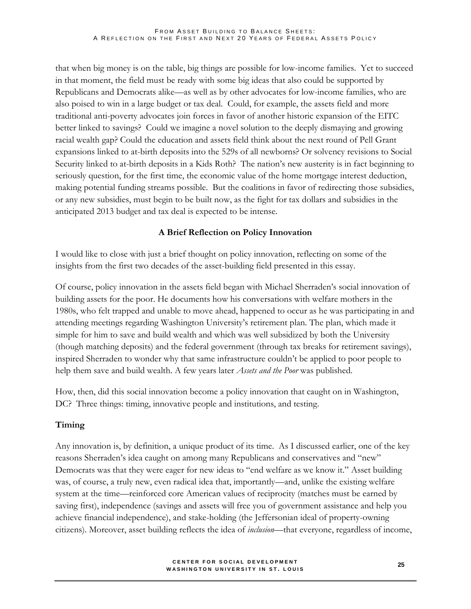that when big money is on the table, big things are possible for low-income families. Yet to succeed in that moment, the field must be ready with some big ideas that also could be supported by Republicans and Democrats alike—as well as by other advocates for low-income families, who are also poised to win in a large budget or tax deal. Could, for example, the assets field and more traditional anti-poverty advocates join forces in favor of another historic expansion of the EITC better linked to savings? Could we imagine a novel solution to the deeply dismaying and growing racial wealth gap? Could the education and assets field think about the next round of Pell Grant expansions linked to at-birth deposits into the 529s of all newborns? Or solvency revisions to Social Security linked to at-birth deposits in a Kids Roth? The nation's new austerity is in fact beginning to seriously question, for the first time, the economic value of the home mortgage interest deduction, making potential funding streams possible. But the coalitions in favor of redirecting those subsidies, or any new subsidies, must begin to be built now, as the fight for tax dollars and subsidies in the anticipated 2013 budget and tax deal is expected to be intense.

## **A Brief Reflection on Policy Innovation**

I would like to close with just a brief thought on policy innovation, reflecting on some of the insights from the first two decades of the asset-building field presented in this essay.

Of course, policy innovation in the assets field began with Michael Sherraden's social innovation of building assets for the poor. He documents how his conversations with welfare mothers in the 1980s, who felt trapped and unable to move ahead, happened to occur as he was participating in and attending meetings regarding Washington University's retirement plan. The plan, which made it simple for him to save and build wealth and which was well subsidized by both the University (though matching deposits) and the federal government (through tax breaks for retirement savings), inspired Sherraden to wonder why that same infrastructure couldn't be applied to poor people to help them save and build wealth. A few years later *Assets and the Poor* was published.

How, then, did this social innovation become a policy innovation that caught on in Washington, DC? Three things: timing, innovative people and institutions, and testing.

## **Timing**

Any innovation is, by definition, a unique product of its time. As I discussed earlier, one of the key reasons Sherraden's idea caught on among many Republicans and conservatives and "new" Democrats was that they were eager for new ideas to "end welfare as we know it." Asset building was, of course, a truly new, even radical idea that, importantly—and, unlike the existing welfare system at the time—reinforced core American values of reciprocity (matches must be earned by saving first), independence (savings and assets will free you of government assistance and help you achieve financial independence), and stake-holding (the Jeffersonian ideal of property-owning citizens). Moreover, asset building reflects the idea of *inclusion*—that everyone, regardless of income,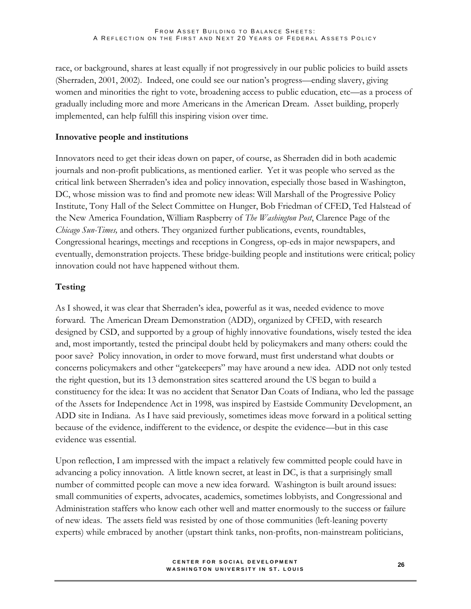race, or background, shares at least equally if not progressively in our public policies to build assets (Sherraden, 2001, 2002). Indeed, one could see our nation's progress—ending slavery, giving women and minorities the right to vote, broadening access to public education, etc—as a process of gradually including more and more Americans in the American Dream. Asset building, properly implemented, can help fulfill this inspiring vision over time.

## **Innovative people and institutions**

Innovators need to get their ideas down on paper, of course, as Sherraden did in both academic journals and non-profit publications, as mentioned earlier. Yet it was people who served as the critical link between Sherraden's idea and policy innovation, especially those based in Washington, DC, whose mission was to find and promote new ideas: Will Marshall of the Progressive Policy Institute, Tony Hall of the Select Committee on Hunger, Bob Friedman of CFED, Ted Halstead of the New America Foundation, William Raspberry of *The Washington Post*, Clarence Page of the *Chicago Sun-Times,* and others. They organized further publications, events, roundtables, Congressional hearings, meetings and receptions in Congress, op-eds in major newspapers, and eventually, demonstration projects. These bridge-building people and institutions were critical; policy innovation could not have happened without them.

## **Testing**

As I showed, it was clear that Sherraden's idea, powerful as it was, needed evidence to move forward. The American Dream Demonstration (ADD), organized by CFED, with research designed by CSD, and supported by a group of highly innovative foundations, wisely tested the idea and, most importantly, tested the principal doubt held by policymakers and many others: could the poor save? Policy innovation, in order to move forward, must first understand what doubts or concerns policymakers and other "gatekeepers" may have around a new idea. ADD not only tested the right question, but its 13 demonstration sites scattered around the US began to build a constituency for the idea: It was no accident that Senator Dan Coats of Indiana, who led the passage of the Assets for Independence Act in 1998, was inspired by Eastside Community Development, an ADD site in Indiana. As I have said previously, sometimes ideas move forward in a political setting because of the evidence, indifferent to the evidence, or despite the evidence—but in this case evidence was essential.

Upon reflection, I am impressed with the impact a relatively few committed people could have in advancing a policy innovation. A little known secret, at least in DC, is that a surprisingly small number of committed people can move a new idea forward. Washington is built around issues: small communities of experts, advocates, academics, sometimes lobbyists, and Congressional and Administration staffers who know each other well and matter enormously to the success or failure of new ideas. The assets field was resisted by one of those communities (left-leaning poverty experts) while embraced by another (upstart think tanks, non-profits, non-mainstream politicians,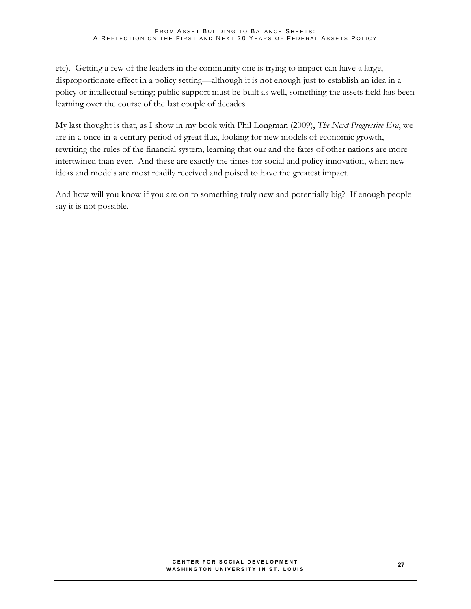etc). Getting a few of the leaders in the community one is trying to impact can have a large, disproportionate effect in a policy setting—although it is not enough just to establish an idea in a policy or intellectual setting; public support must be built as well, something the assets field has been learning over the course of the last couple of decades.

My last thought is that, as I show in my book with Phil Longman (2009), *The Next Progressive Era*, we are in a once-in-a-century period of great flux, looking for new models of economic growth, rewriting the rules of the financial system, learning that our and the fates of other nations are more intertwined than ever. And these are exactly the times for social and policy innovation, when new ideas and models are most readily received and poised to have the greatest impact.

And how will you know if you are on to something truly new and potentially big? If enough people say it is not possible.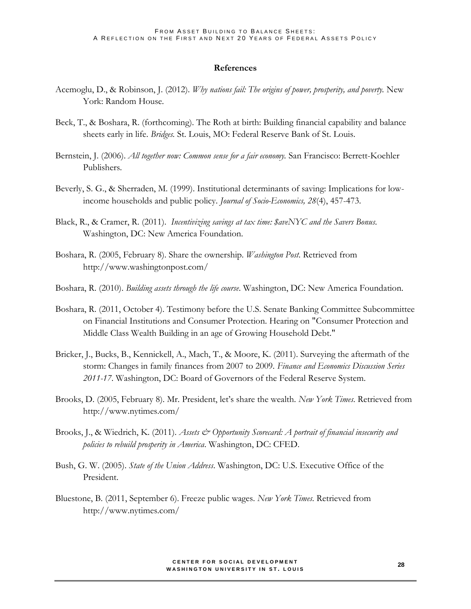#### **References**

- Acemoglu, D., & Robinson, J. (2012). *Why nations fail: The origins of power, prosperity, and poverty.* New York: Random House.
- Beck, T., & Boshara, R. (forthcoming). The Roth at birth: Building financial capability and balance sheets early in life. *Bridges.* St. Louis, MO: Federal Reserve Bank of St. Louis.
- Bernstein, J. (2006). *All together now: Common sense for a fair economy.* San Francisco: Berrett-Koehler Publishers.
- Beverly, S. G., & Sherraden, M. (1999). Institutional determinants of saving: Implications for lowincome households and public policy. *Journal of Socio-Economics, 28*(4), 457-473.
- Black, R., & Cramer, R. (2011). *Incentivizing savings at tax time: \$aveNYC and the Savers Bonus*. Washington, DC: New America Foundation.
- Boshara, R. (2005, February 8). Share the ownership. *Washington Post*. Retrieved from http://www.washingtonpost.com/
- Boshara, R. (2010). *Building assets through the life course*. Washington, DC: New America Foundation.
- Boshara, R. (2011, October 4). Testimony before the U.S. Senate Banking Committee Subcommittee on Financial Institutions and Consumer Protection. Hearing on "Consumer Protection and Middle Class Wealth Building in an age of Growing Household Debt."
- Bricker, J., Bucks, B., Kennickell, A., Mach, T., & Moore, K. (2011). Surveying the aftermath of the storm: Changes in family finances from 2007 to 2009. *Finance and Economics Discussion Series 2011-17*. Washington, DC: Board of Governors of the Federal Reserve System.
- Brooks, D. (2005, February 8). Mr. President, let's share the wealth. *New York Times*. Retrieved from http://www.nytimes.com/
- Brooks, J., & Wiedrich, K. (2011). *Assets & Opportunity Scorecard: A portrait of financial insecurity and policies to rebuild prosperity in America*. Washington, DC: CFED.
- Bush, G. W. (2005). *State of the Union Address*. Washington, DC: U.S. Executive Office of the President.
- Bluestone, B. (2011, September 6). Freeze public wages. *New York Times*. Retrieved from http://www.nytimes.com/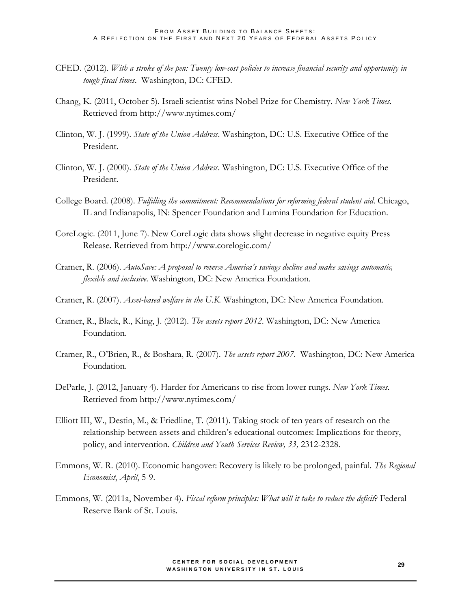- CFED. (2012). *With a stroke of the pen: Twenty low-cost policies to increase financial security and opportunity in tough fiscal times*. Washington, DC: CFED.
- Chang, K. (2011, October 5). Israeli scientist wins Nobel Prize for Chemistry. *New York Times.*  Retrieved from http://www.nytimes.com/
- Clinton, W. J. (1999). *State of the Union Address*. Washington, DC: U.S. Executive Office of the President.
- Clinton, W. J. (2000). *State of the Union Address*. Washington, DC: U.S. Executive Office of the President.
- College Board. (2008). *Fulfilling the commitment: Recommendations for reforming federal student aid*. Chicago, IL and Indianapolis, IN: Spencer Foundation and Lumina Foundation for Education.
- CoreLogic. (2011, June 7). New CoreLogic data shows slight decrease in negative equity Press Release. Retrieved from http://www.corelogic.com/
- Cramer, R. (2006). *AutoSave: A proposal to reverse America's savings decline and make savings automatic, flexible and inclusive*. Washington, DC: New America Foundation.
- Cramer, R. (2007). *Asset-based welfare in the U.K.* Washington, DC: New America Foundation.
- Cramer, R., Black, R., King, J. (2012). *The assets report 2012*. Washington, DC: New America Foundation.
- Cramer, R., O'Brien, R., & Boshara, R. (2007). *The assets report 2007*. Washington, DC: New America Foundation.
- DeParle, J. (2012, January 4). Harder for Americans to rise from lower rungs. *New York Times*. Retrieved from http://www.nytimes.com/
- Elliott III, W., Destin, M., & Friedline, T. (2011). Taking stock of ten years of research on the relationship between assets and children's educational outcomes: Implications for theory, policy, and intervention. *Children and Youth Services Review, 33,* 2312-2328.
- Emmons, W. R. (2010). Economic hangover: Recovery is likely to be prolonged, painful. *The Regional Economist*, *April*, 5-9.
- Emmons, W. (2011a, November 4). *Fiscal reform principles: What will it take to reduce the deficit*? Federal Reserve Bank of St. Louis.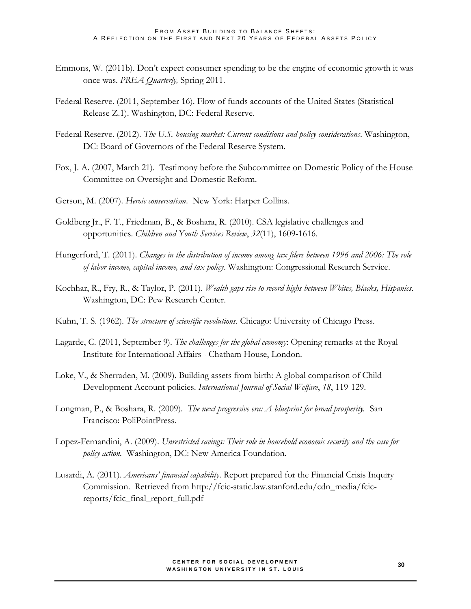- Emmons, W. (2011b). Don't expect consumer spending to be the engine of economic growth it was once was. *PREA Quarterly,* Spring 2011.
- Federal Reserve. (2011, September 16). Flow of funds accounts of the United States (Statistical Release Z.1). Washington, DC: Federal Reserve.
- Federal Reserve. (2012). *The U.S. housing market: Current conditions and policy considerations*. Washington, DC: Board of Governors of the Federal Reserve System.
- Fox, J. A. (2007, March 21). Testimony before the Subcommittee on Domestic Policy of the House Committee on Oversight and Domestic Reform.
- Gerson, M. (2007). *Heroic conservatism*. New York: Harper Collins.
- Goldberg Jr., F. T., Friedman, B., & Boshara, R. (2010). CSA legislative challenges and opportunities. *Children and Youth Services Review*, *32*(11), 1609-1616.
- Hungerford, T. (2011). *[Changes in the distribution of income among tax filers between 1996 and 2006: The role](http://taxprof.typepad.com/files/crs-1.pdf)  [of labor income, capital income, and tax policy](http://taxprof.typepad.com/files/crs-1.pdf)*. Washington: Congressional Research Service.
- Kochhar, R., Fry, R., & Taylor, P. (2011). *Wealth gaps rise to record highs between Whites, Blacks, Hispanics*. Washington, DC: Pew Research Center.
- Kuhn, T. S. (1962). *The structure of scientific revolutions.* Chicago: University of Chicago Press.
- Lagarde, C. (2011, September 9). *The challenges for the global economy*: Opening remarks at the Royal Institute for International Affairs - Chatham House, London.
- Loke, V., & Sherraden, M. (2009). Building assets from birth: A global comparison of Child Development Account policies. *International Journal of Social Welfare*, *18*, 119-129.
- Longman, P., & Boshara, R. (2009). *The next progressive era: A blueprint for broad prosperity*. San Francisco: PoliPointPress.
- Lopez-Fernandini, A. (2009). *Unrestricted savings: Their role in household economic security and the case for policy action.* Washington, DC: New America Foundation.
- Lusardi, A. (2011). *Americans' financial capability*. Report prepared for the Financial Crisis Inquiry Commission. Retrieved from http://fcic-static.law.stanford.edu/cdn\_media/fcicreports/fcic\_final\_report\_full.pdf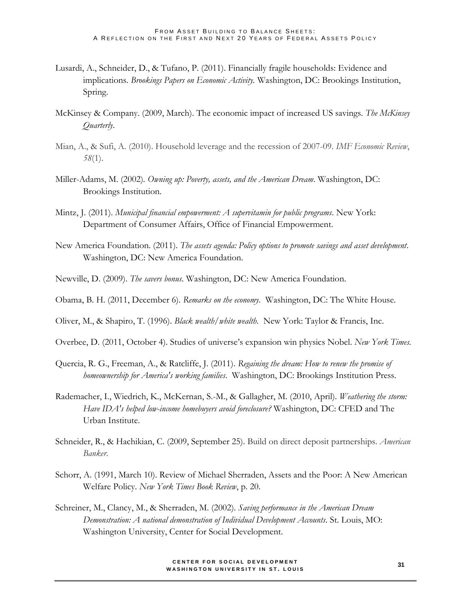- Lusardi, A., Schneider, D., & Tufano, P. (2011). Financially fragile households: Evidence and implications. *Brookings Papers on Economic Activity.* Washington, DC: Brookings Institution, Spring.
- McKinsey & Company. (2009, March). The economic impact of increased US savings. *The McKinsey Quarterly*.
- Mian, A., & Sufi, A. (2010). Household leverage and the recession of 2007-09. *IMF Economic Review*, *58*(1).
- Miller-Adams, M. (2002)*. Owning up: Poverty, assets, and the American Dream*. Washington, DC: Brookings Institution.
- Mintz, J. (2011). *Municipal financial empowerment: A supervitamin for public programs*. New York: Department of Consumer Affairs, Office of Financial Empowerment.
- New America Foundation. (2011). *The assets agenda: Policy options to promote savings and asset development*. Washington, DC: New America Foundation.
- Newville, D. (2009). *The savers bonus*. Washington, DC: New America Foundation.
- Obama, B. H. (2011, December 6). *Remarks on the economy*. Washington, DC: The White House.
- Oliver, M., & Shapiro, T. (1996). *Black wealth/white wealth.* New York: Taylor & Francis, Inc.
- Overbee, D. (2011, October 4). Studies of universe's expansion win physics Nobel. *New York Times.*
- Quercia, R. G., Freeman, A., & Ratcliffe, J. (2011). *Regaining the dream: How to renew the promise of homeownership for America's working families*. Washington, DC: Brookings Institution Press.
- Rademacher, I., Wiedrich, K., McKernan, S.-M., & Gallagher, M. (2010, April). *Weathering the storm: Have IDA's helped low-income homebuyers avoid foreclosure?* Washington, DC: CFED and The Urban Institute.
- Schneider, R., & Hachikian, C. (2009, September 25). Build on direct deposit partnerships. *American Banker*.
- Schorr, A. (1991, March 10). Review of Michael Sherraden, Assets and the Poor: A New American Welfare Policy. *New York Times Book Review*, p. 20.
- Schreiner, M., Clancy, M., & Sherraden, M. (2002). *Saving performance in the American Dream Demonstration: A national demonstration of Individual Development Accounts*. St. Louis, MO: Washington University, Center for Social Development.

#### **C E N T E R F O R S O C I A L D E V E L O P M E N T WASHINGTON UNIVERSITY IN ST. LOUIS**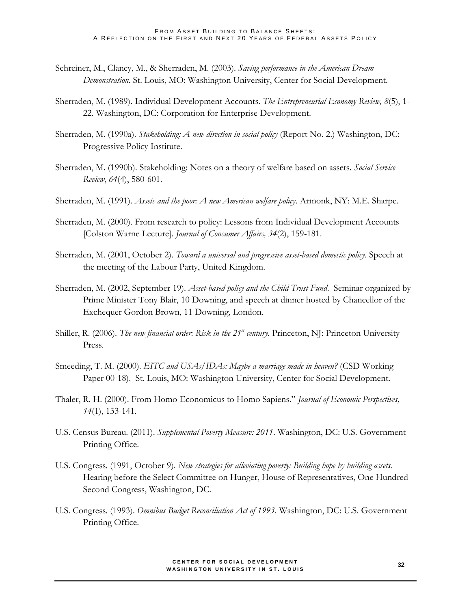- Schreiner, M., Clancy, M., & Sherraden, M. (2003). *Saving performance in the American Dream Demonstration*. St. Louis, MO: Washington University, Center for Social Development.
- Sherraden, M. (1989). Individual Development Accounts. *The Entrepreneurial Economy Review, 8*(5), 1- 22. Washington, DC: Corporation for Enterprise Development.
- Sherraden, M. (1990a). *Stakeholding: A new direction in social policy* (Report No. 2.) Washington, DC: Progressive Policy Institute.
- Sherraden, M. (1990b). Stakeholding: Notes on a theory of welfare based on assets. *Social Service Review*, *64*(4), 580-601.
- Sherraden, M. (1991). *Assets and the poor: A new American welfare policy*. Armonk, NY: M.E. Sharpe.
- Sherraden, M. (2000). From research to policy: Lessons from Individual Development Accounts [Colston Warne Lecture]. *Journal of Consumer Affairs, 34*(2), 159-181.
- Sherraden, M. (2001, October 2). *Toward a universal and progressive asset-based domestic policy*. Speech at the meeting of the Labour Party, United Kingdom.
- Sherraden, M. (2002, September 19). *Asset-based policy and the Child Trust Fund*. Seminar organized by Prime Minister Tony Blair, 10 Downing, and speech at dinner hosted by Chancellor of the Exchequer Gordon Brown, 11 Downing, London.
- Shiller, R. (2006). *The new financial order*: *Risk in the 21st century.* Princeton, NJ: Princeton University Press.
- Smeeding, T. M. (2000). *EITC and USAs/IDAs: Maybe a marriage made in heaven?* (CSD Working Paper 00-18). St. Louis, MO: Washington University, Center for Social Development.
- Thaler, R. H. (2000). From Homo Economicus to Homo Sapiens." *Journal of Economic Perspectives, 14*(1), 133-141.
- U.S. Census Bureau. (2011). *Supplemental Poverty Measure: 2011*. Washington, DC: U.S. Government Printing Office.
- U.S. Congress. (1991, October 9). *New strategies for alleviating poverty: Building hope by building assets.*  Hearing before the Select Committee on Hunger, House of Representatives, One Hundred Second Congress, Washington, DC.
- U.S. Congress. (1993). *Omnibus Budget Reconciliation Act of 1993*. Washington, DC: U.S. Government Printing Office.